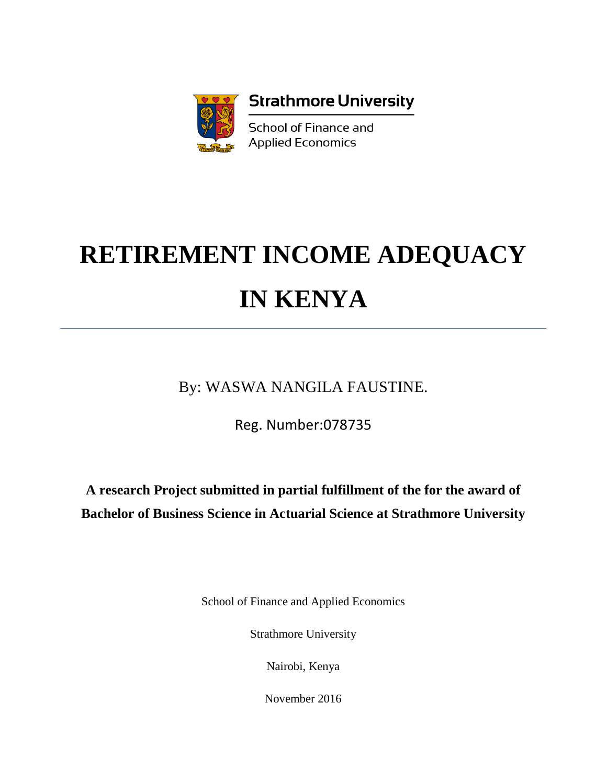

# **RETIREMENT INCOME ADEQUACY IN KENYA**

By: WASWA NANGILA FAUSTINE.

Reg. Number:078735

**A research Project submitted in partial fulfillment of the for the award of Bachelor of Business Science in Actuarial Science at Strathmore University**

School of Finance and Applied Economics

Strathmore University

Nairobi, Kenya

November 2016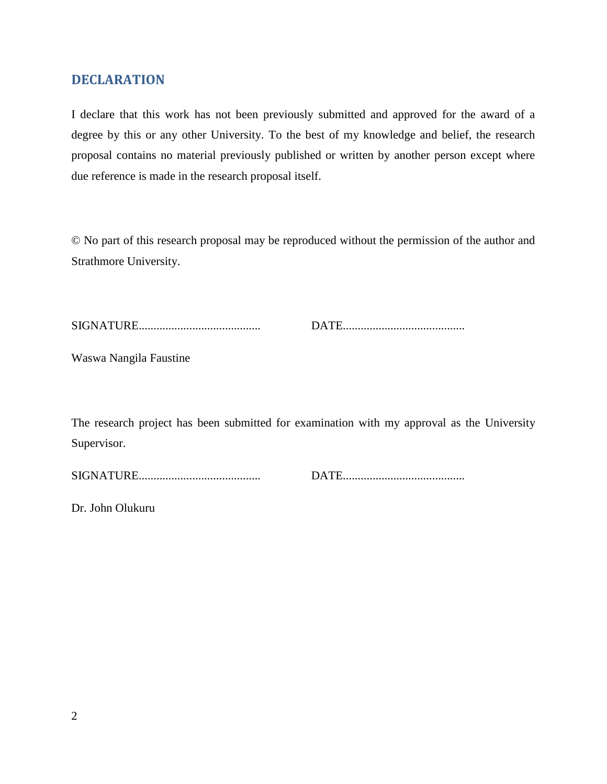# <span id="page-1-0"></span>**DECLARATION**

I declare that this work has not been previously submitted and approved for the award of a degree by this or any other University. To the best of my knowledge and belief, the research proposal contains no material previously published or written by another person except where due reference is made in the research proposal itself.

© No part of this research proposal may be reproduced without the permission of the author and Strathmore University.

|--|--|

SIGNATURE......................................... DATE.........................................

Waswa Nangila Faustine

The research project has been submitted for examination with my approval as the University Supervisor.

SIGNATURE......................................... DATE.........................................

Dr. John Olukuru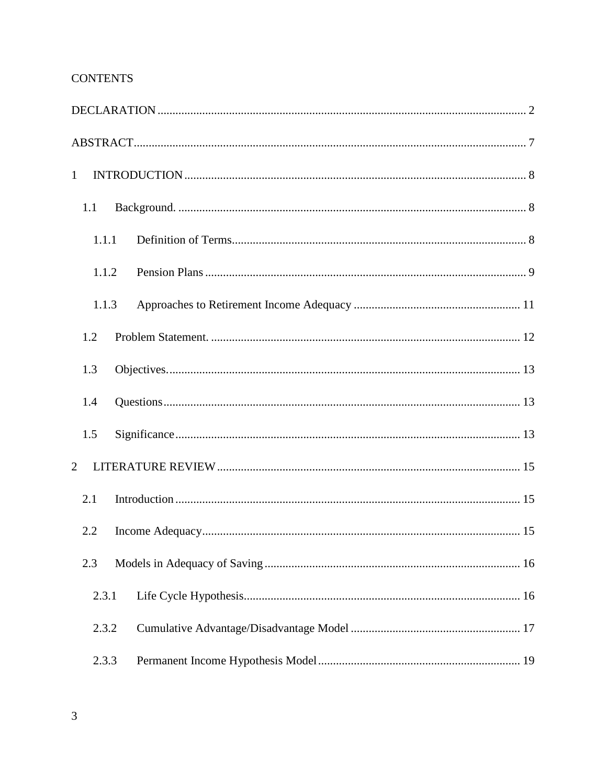# **CONTENTS**

| $\mathbf{1}$   |       |  |  |
|----------------|-------|--|--|
|                | 1.1   |  |  |
|                | 1.1.1 |  |  |
|                | 1.1.2 |  |  |
|                | 1.1.3 |  |  |
|                | 1.2   |  |  |
|                | 1.3   |  |  |
|                | 1.4   |  |  |
|                | 1.5   |  |  |
| $\overline{2}$ |       |  |  |
|                | 2.1   |  |  |
|                | 2.2   |  |  |
|                | 2.3   |  |  |
|                | 2.3.1 |  |  |
|                | 2.3.2 |  |  |
|                | 2.3.3 |  |  |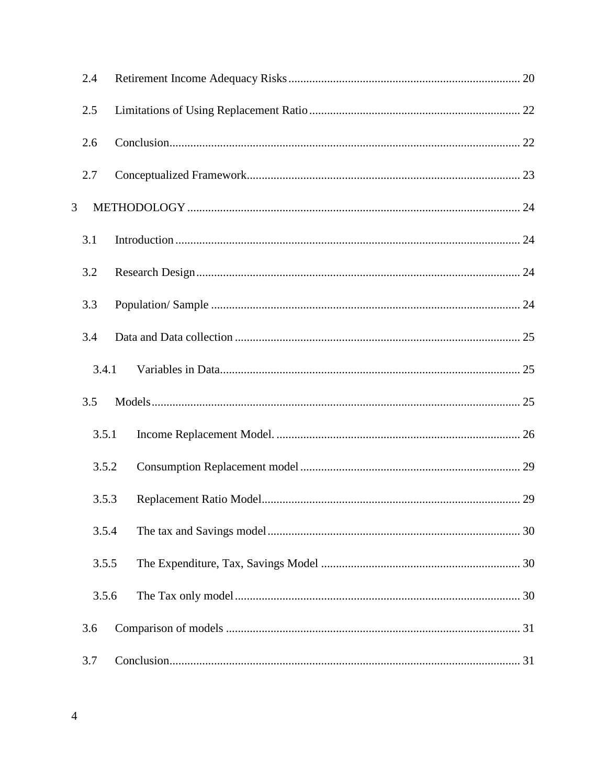|   | 2.4   |  |
|---|-------|--|
|   | 2.5   |  |
|   | 2.6   |  |
|   | 2.7   |  |
| 3 |       |  |
|   | 3.1   |  |
|   | 3.2   |  |
|   | 3.3   |  |
|   | 3.4   |  |
|   | 3.4.1 |  |
|   | 3.5   |  |
|   | 3.5.1 |  |
|   | 3.5.2 |  |
|   | 3.5.3 |  |
|   | 3.5.4 |  |
|   | 3.5.5 |  |
|   | 3.5.6 |  |
|   | 3.6   |  |
|   | 3.7   |  |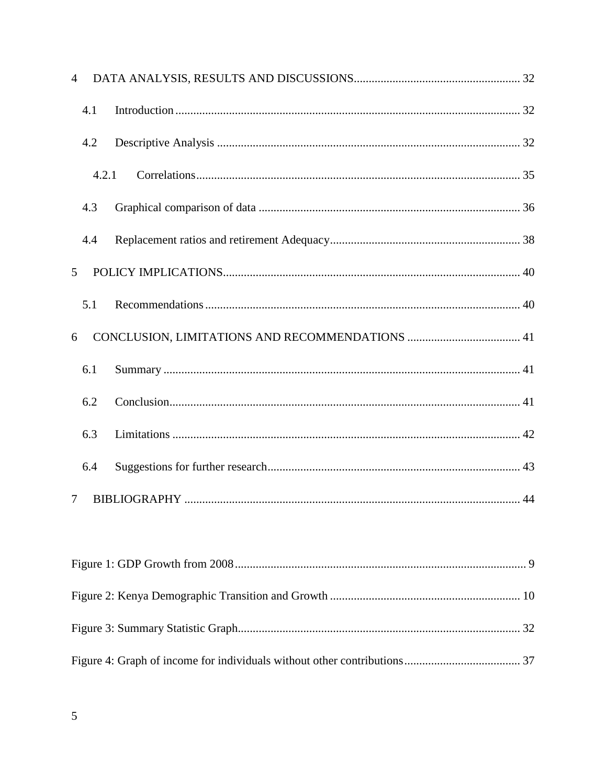| $\overline{4}$ |       |  |
|----------------|-------|--|
|                | 4.1   |  |
|                | 4.2   |  |
|                | 4.2.1 |  |
|                | 4.3   |  |
|                | 4.4   |  |
| 5              |       |  |
|                | 5.1   |  |
| 6              |       |  |
|                | 6.1   |  |
|                | 6.2   |  |
|                | 6.3   |  |
|                | 6.4   |  |
| 7              |       |  |
|                |       |  |
|                |       |  |
|                |       |  |
|                |       |  |
|                |       |  |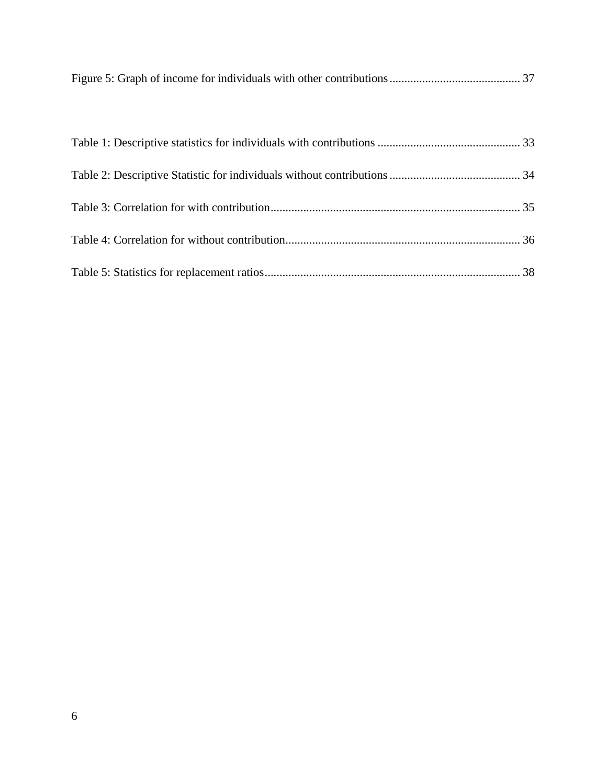|--|--|--|--|--|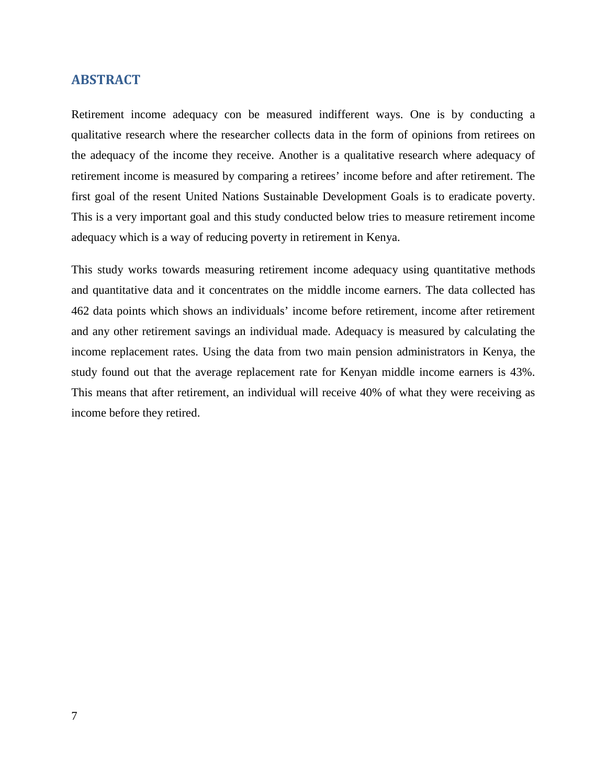#### <span id="page-6-0"></span>**ABSTRACT**

Retirement income adequacy con be measured indifferent ways. One is by conducting a qualitative research where the researcher collects data in the form of opinions from retirees on the adequacy of the income they receive. Another is a qualitative research where adequacy of retirement income is measured by comparing a retirees' income before and after retirement. The first goal of the resent United Nations Sustainable Development Goals is to eradicate poverty. This is a very important goal and this study conducted below tries to measure retirement income adequacy which is a way of reducing poverty in retirement in Kenya.

This study works towards measuring retirement income adequacy using quantitative methods and quantitative data and it concentrates on the middle income earners. The data collected has 462 data points which shows an individuals' income before retirement, income after retirement and any other retirement savings an individual made. Adequacy is measured by calculating the income replacement rates. Using the data from two main pension administrators in Kenya, the study found out that the average replacement rate for Kenyan middle income earners is 43%. This means that after retirement, an individual will receive 40% of what they were receiving as income before they retired.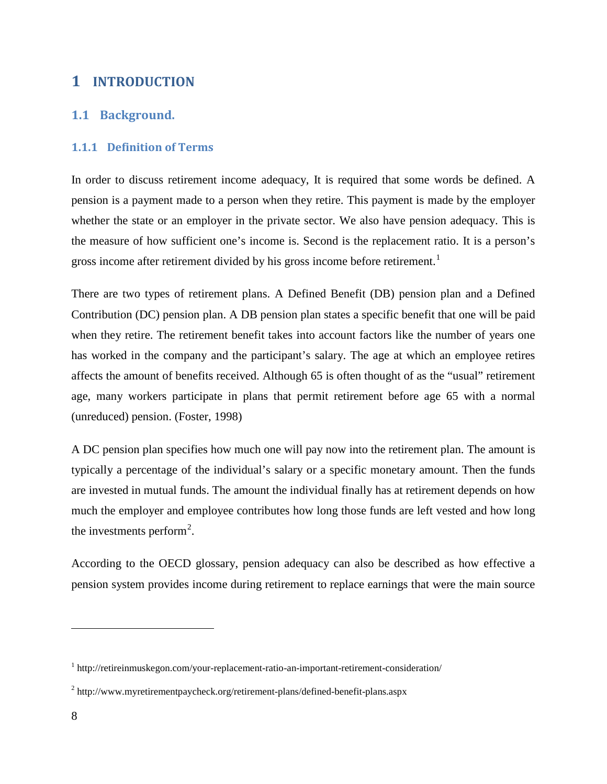# <span id="page-7-0"></span>**1 INTRODUCTION**

# <span id="page-7-1"></span>**1.1 Background.**

## <span id="page-7-2"></span>**1.1.1 Definition of Terms**

In order to discuss retirement income adequacy, It is required that some words be defined. A pension is a payment made to a person when they retire. This payment is made by the employer whether the state or an employer in the private sector. We also have pension adequacy. This is the measure of how sufficient one's income is. Second is the replacement ratio. It is a person's gross income after retirement divided by his gross income before retirement.<sup>[1](#page-7-3)</sup>

There are two types of retirement plans. A Defined Benefit (DB) pension plan and a Defined Contribution (DC) pension plan. A DB pension plan states a specific benefit that one will be paid when they retire. The retirement benefit takes into account factors like the number of years one has worked in the company and the participant's salary. The age at which an employee retires affects the amount of benefits received. Although 65 is often thought of as the "usual" retirement age, many workers participate in plans that permit retirement before age 65 with a normal (unreduced) pension. (Foster, 1998)

A DC pension plan specifies how much one will pay now into the retirement plan. The amount is typically a percentage of the individual's salary or a specific monetary amount. Then the funds are invested in mutual funds. The amount the individual finally has at retirement depends on how much the employer and employee contributes how long those funds are left vested and how long the investments perform<sup>[2](#page-7-4)</sup>.

According to the OECD glossary, pension adequacy can also be described as how effective a pension system provides income during retirement to replace earnings that were the main source

 $\overline{a}$ 

<span id="page-7-3"></span><sup>1</sup> http://retireinmuskegon.com/your-replacement-ratio-an-important-retirement-consideration/

<span id="page-7-4"></span><sup>2</sup> http://www.myretirementpaycheck.org/retirement-plans/defined-benefit-plans.aspx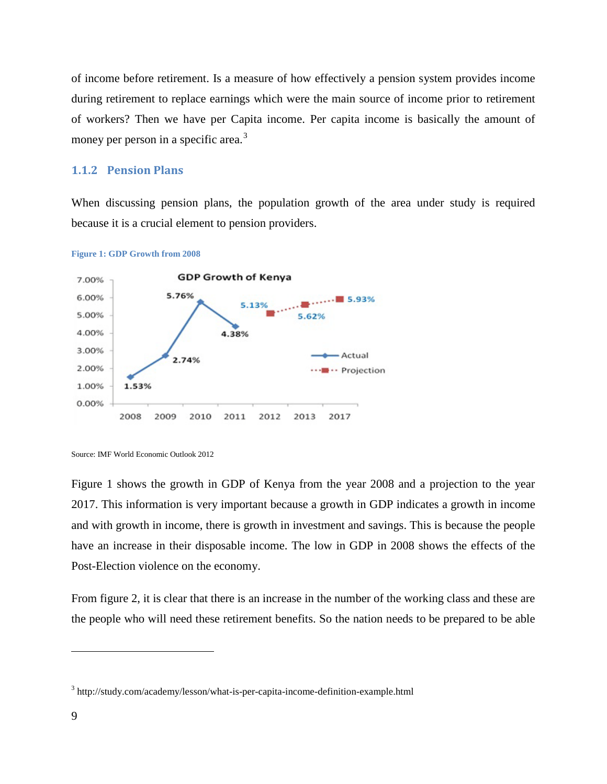of income before retirement. Is a measure of how effectively a pension system provides income during retirement to replace earnings which were the main source of income prior to retirement of workers? Then we have per Capita income. Per capita income is basically the amount of money per person in a specific area.<sup>[3](#page-8-2)</sup>

#### <span id="page-8-0"></span>**1.1.2 Pension Plans**

When discussing pension plans, the population growth of the area under study is required because it is a crucial element to pension providers.



<span id="page-8-1"></span>

Figure 1 shows the growth in GDP of Kenya from the year 2008 and a projection to the year 2017. This information is very important because a growth in GDP indicates a growth in income and with growth in income, there is growth in investment and savings. This is because the people have an increase in their disposable income. The low in GDP in 2008 shows the effects of the Post-Election violence on the economy.

From figure 2, it is clear that there is an increase in the number of the working class and these are the people who will need these retirement benefits. So the nation needs to be prepared to be able

 $\overline{a}$ 

Source: IMF World Economic Outlook 2012

<span id="page-8-2"></span><sup>3</sup> http://study.com/academy/lesson/what-is-per-capita-income-definition-example.html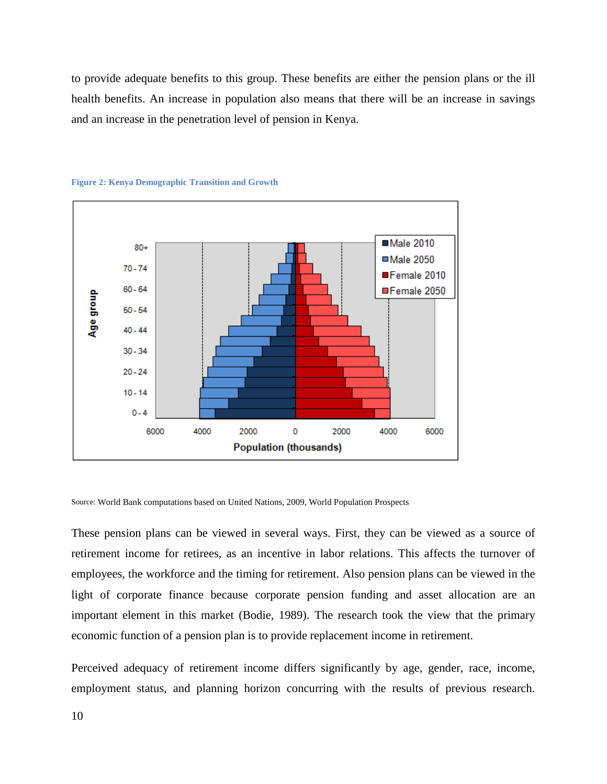to provide adequate benefits to this group. These benefits are either the pension plans or the ill health benefits. An increase in population also means that there will be an increase in savings and an increase in the penetration level of pension in Kenya.



#### <span id="page-9-0"></span>**Figure 2: Kenya Demographic Transition and Growth**

Source: World Bank computations based on United Nations, 2009, World Population Prospects

These pension plans can be viewed in several ways. First, they can be viewed as a source of retirement income for retirees, as an incentive in labor relations. This affects the turnover of employees, the workforce and the timing for retirement. Also pension plans can be viewed in the light of corporate finance because corporate pension funding and asset allocation are an important element in this market (Bodie, 1989). The research took the view that the primary economic function of a pension plan is to provide replacement income in retirement.

Perceived adequacy of retirement income differs significantly by age, gender, race, income, employment status, and planning horizon concurring with the results of previous research.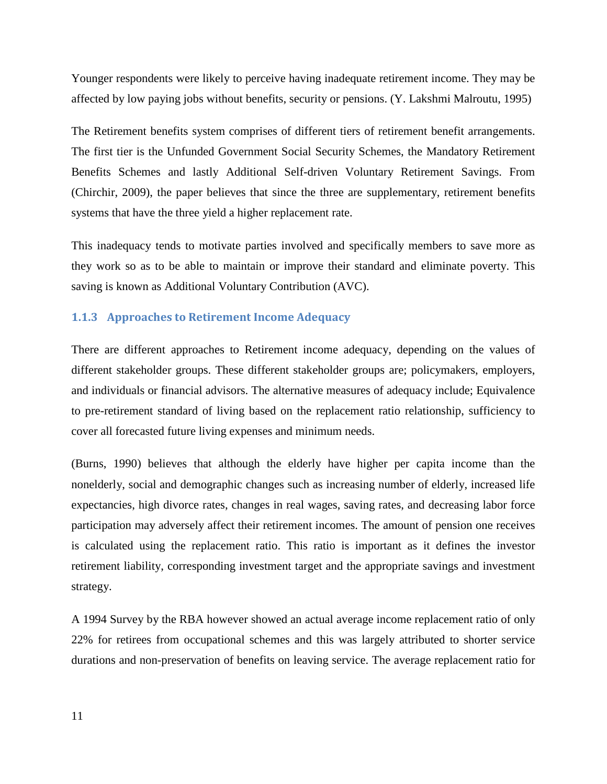Younger respondents were likely to perceive having inadequate retirement income. They may be affected by low paying jobs without benefits, security or pensions. (Y. Lakshmi Malroutu, 1995)

The Retirement benefits system comprises of different tiers of retirement benefit arrangements. The first tier is the Unfunded Government Social Security Schemes, the Mandatory Retirement Benefits Schemes and lastly Additional Self-driven Voluntary Retirement Savings. From (Chirchir, 2009), the paper believes that since the three are supplementary, retirement benefits systems that have the three yield a higher replacement rate.

This inadequacy tends to motivate parties involved and specifically members to save more as they work so as to be able to maintain or improve their standard and eliminate poverty. This saving is known as Additional Voluntary Contribution (AVC).

#### <span id="page-10-0"></span>**1.1.3 Approaches to Retirement Income Adequacy**

There are different approaches to Retirement income adequacy, depending on the values of different stakeholder groups. These different stakeholder groups are; policymakers, employers, and individuals or financial advisors. The alternative measures of adequacy include; Equivalence to pre-retirement standard of living based on the replacement ratio relationship, sufficiency to cover all forecasted future living expenses and minimum needs.

(Burns, 1990) believes that although the elderly have higher per capita income than the nonelderly, social and demographic changes such as increasing number of elderly, increased life expectancies, high divorce rates, changes in real wages, saving rates, and decreasing labor force participation may adversely affect their retirement incomes. The amount of pension one receives is calculated using the replacement ratio. This ratio is important as it defines the investor retirement liability, corresponding investment target and the appropriate savings and investment strategy.

A 1994 Survey by the RBA however showed an actual average income replacement ratio of only 22% for retirees from occupational schemes and this was largely attributed to shorter service durations and non-preservation of benefits on leaving service. The average replacement ratio for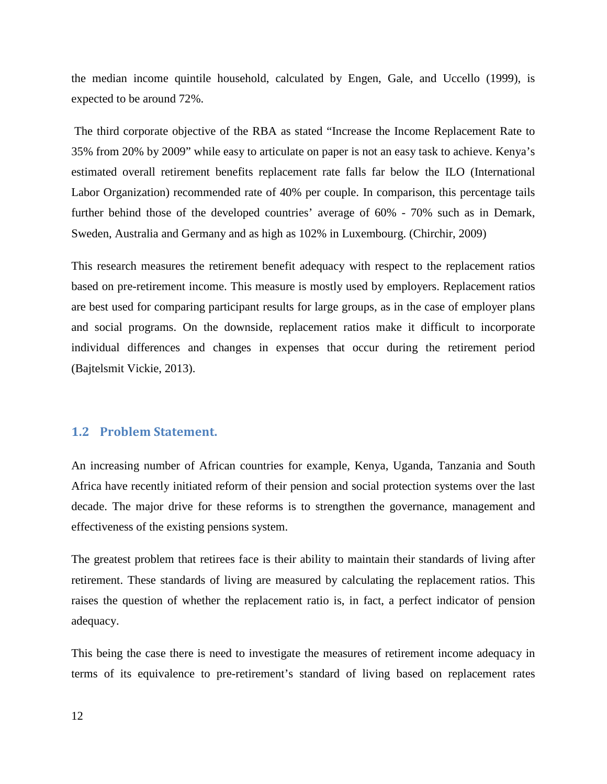the median income quintile household, calculated by Engen, Gale, and Uccello (1999), is expected to be around 72%.

The third corporate objective of the RBA as stated "Increase the Income Replacement Rate to 35% from 20% by 2009" while easy to articulate on paper is not an easy task to achieve. Kenya's estimated overall retirement benefits replacement rate falls far below the ILO (International Labor Organization) recommended rate of 40% per couple. In comparison, this percentage tails further behind those of the developed countries' average of 60% - 70% such as in Demark, Sweden, Australia and Germany and as high as 102% in Luxembourg. (Chirchir, 2009)

This research measures the retirement benefit adequacy with respect to the replacement ratios based on pre-retirement income. This measure is mostly used by employers. Replacement ratios are best used for comparing participant results for large groups, as in the case of employer plans and social programs. On the downside, replacement ratios make it difficult to incorporate individual differences and changes in expenses that occur during the retirement period (Bajtelsmit Vickie, 2013).

#### <span id="page-11-0"></span>**1.2 Problem Statement.**

An increasing number of African countries for example, Kenya, Uganda, Tanzania and South Africa have recently initiated reform of their pension and social protection systems over the last decade. The major drive for these reforms is to strengthen the governance, management and effectiveness of the existing pensions system.

The greatest problem that retirees face is their ability to maintain their standards of living after retirement. These standards of living are measured by calculating the replacement ratios. This raises the question of whether the replacement ratio is, in fact, a perfect indicator of pension adequacy.

This being the case there is need to investigate the measures of retirement income adequacy in terms of its equivalence to pre-retirement's standard of living based on replacement rates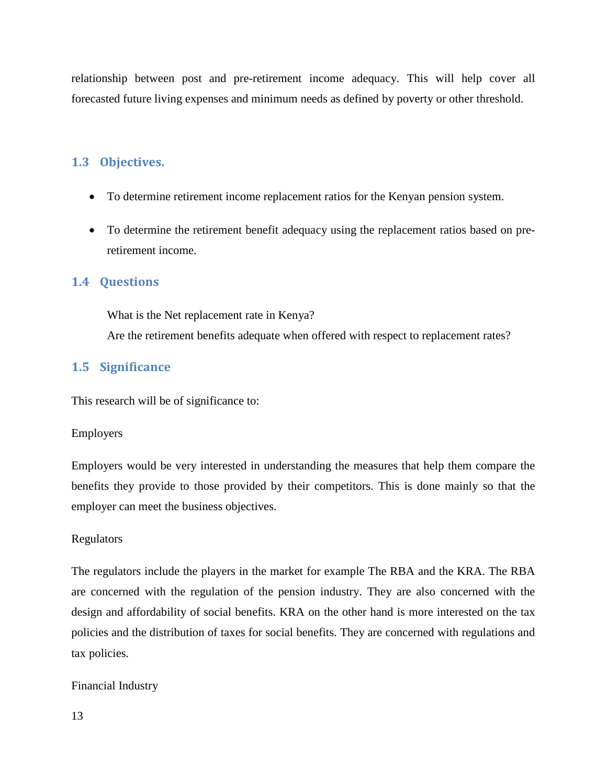relationship between post and pre-retirement income adequacy. This will help cover all forecasted future living expenses and minimum needs as defined by poverty or other threshold.

## <span id="page-12-0"></span>**1.3 Objectives.**

- To determine retirement income replacement ratios for the Kenyan pension system.
- To determine the retirement benefit adequacy using the replacement ratios based on preretirement income.

#### <span id="page-12-1"></span>**1.4 Questions**

What is the Net replacement rate in Kenya? Are the retirement benefits adequate when offered with respect to replacement rates?

## <span id="page-12-2"></span>**1.5 Significance**

This research will be of significance to:

#### Employers

Employers would be very interested in understanding the measures that help them compare the benefits they provide to those provided by their competitors. This is done mainly so that the employer can meet the business objectives.

#### Regulators

The regulators include the players in the market for example The RBA and the KRA. The RBA are concerned with the regulation of the pension industry. They are also concerned with the design and affordability of social benefits. KRA on the other hand is more interested on the tax policies and the distribution of taxes for social benefits. They are concerned with regulations and tax policies.

#### Financial Industry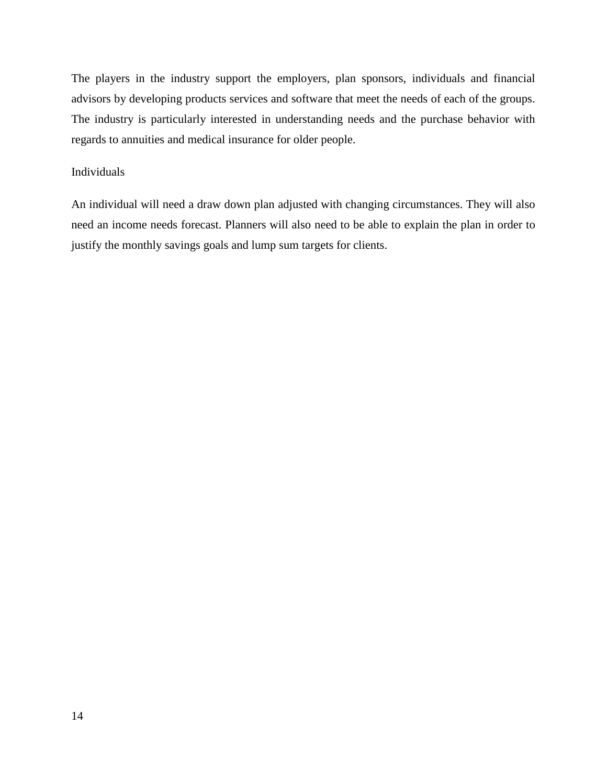The players in the industry support the employers, plan sponsors, individuals and financial advisors by developing products services and software that meet the needs of each of the groups. The industry is particularly interested in understanding needs and the purchase behavior with regards to annuities and medical insurance for older people.

#### Individuals

An individual will need a draw down plan adjusted with changing circumstances. They will also need an income needs forecast. Planners will also need to be able to explain the plan in order to justify the monthly savings goals and lump sum targets for clients.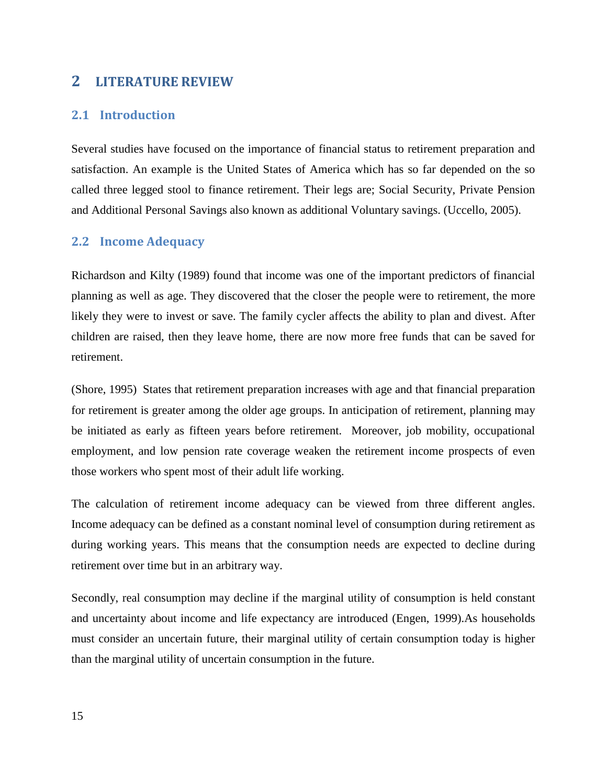## <span id="page-14-0"></span>**2 LITERATURE REVIEW**

## <span id="page-14-1"></span>**2.1 Introduction**

Several studies have focused on the importance of financial status to retirement preparation and satisfaction. An example is the United States of America which has so far depended on the so called three legged stool to finance retirement. Their legs are; Social Security, Private Pension and Additional Personal Savings also known as additional Voluntary savings. (Uccello, 2005).

#### <span id="page-14-2"></span>**2.2 Income Adequacy**

Richardson and Kilty (1989) found that income was one of the important predictors of financial planning as well as age. They discovered that the closer the people were to retirement, the more likely they were to invest or save. The family cycler affects the ability to plan and divest. After children are raised, then they leave home, there are now more free funds that can be saved for retirement.

(Shore, 1995) States that retirement preparation increases with age and that financial preparation for retirement is greater among the older age groups. In anticipation of retirement, planning may be initiated as early as fifteen years before retirement. Moreover, job mobility, occupational employment, and low pension rate coverage weaken the retirement income prospects of even those workers who spent most of their adult life working.

The calculation of retirement income adequacy can be viewed from three different angles. Income adequacy can be defined as a constant nominal level of consumption during retirement as during working years. This means that the consumption needs are expected to decline during retirement over time but in an arbitrary way.

Secondly, real consumption may decline if the marginal utility of consumption is held constant and uncertainty about income and life expectancy are introduced (Engen, 1999).As households must consider an uncertain future, their marginal utility of certain consumption today is higher than the marginal utility of uncertain consumption in the future.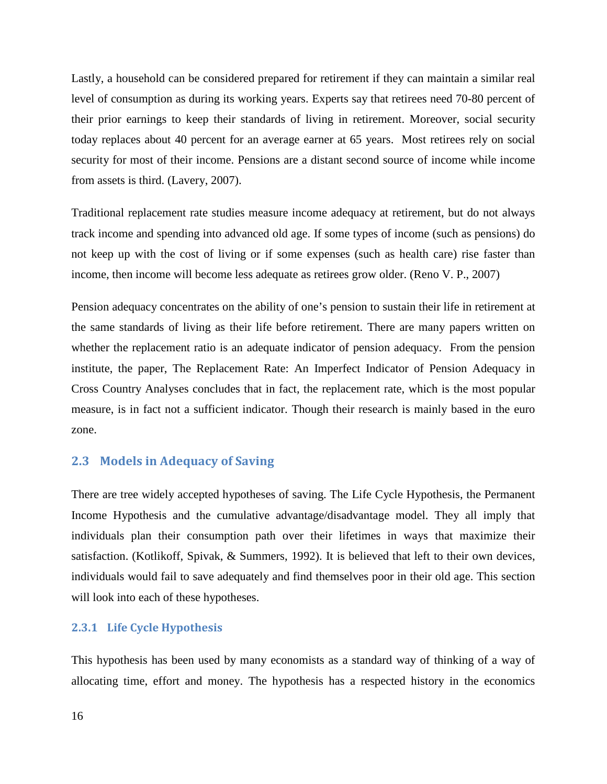Lastly, a household can be considered prepared for retirement if they can maintain a similar real level of consumption as during its working years. Experts say that retirees need 70-80 percent of their prior earnings to keep their standards of living in retirement. Moreover, social security today replaces about 40 percent for an average earner at 65 years. Most retirees rely on social security for most of their income. Pensions are a distant second source of income while income from assets is third. (Lavery, 2007).

Traditional replacement rate studies measure income adequacy at retirement, but do not always track income and spending into advanced old age. If some types of income (such as pensions) do not keep up with the cost of living or if some expenses (such as health care) rise faster than income, then income will become less adequate as retirees grow older. (Reno V. P., 2007)

Pension adequacy concentrates on the ability of one's pension to sustain their life in retirement at the same standards of living as their life before retirement. There are many papers written on whether the replacement ratio is an adequate indicator of pension adequacy. From the pension institute, the paper, The Replacement Rate: An Imperfect Indicator of Pension Adequacy in Cross Country Analyses concludes that in fact, the replacement rate, which is the most popular measure, is in fact not a sufficient indicator. Though their research is mainly based in the euro zone.

#### <span id="page-15-0"></span>**2.3 Models in Adequacy of Saving**

There are tree widely accepted hypotheses of saving. The Life Cycle Hypothesis, the Permanent Income Hypothesis and the cumulative advantage/disadvantage model. They all imply that individuals plan their consumption path over their lifetimes in ways that maximize their satisfaction. (Kotlikoff, Spivak, & Summers, 1992). It is believed that left to their own devices, individuals would fail to save adequately and find themselves poor in their old age. This section will look into each of these hypotheses.

#### <span id="page-15-1"></span>**2.3.1 Life Cycle Hypothesis**

This hypothesis has been used by many economists as a standard way of thinking of a way of allocating time, effort and money. The hypothesis has a respected history in the economics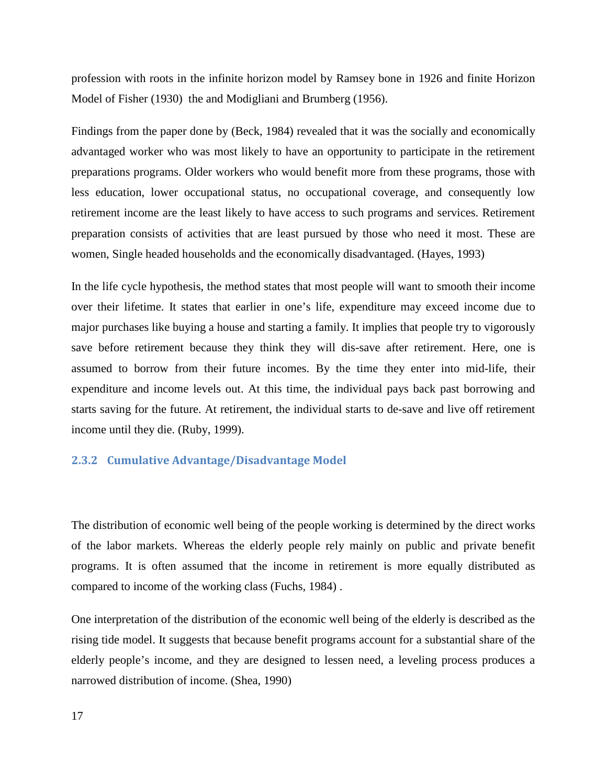profession with roots in the infinite horizon model by Ramsey bone in 1926 and finite Horizon Model of Fisher (1930) the and Modigliani and Brumberg (1956).

Findings from the paper done by (Beck, 1984) revealed that it was the socially and economically advantaged worker who was most likely to have an opportunity to participate in the retirement preparations programs. Older workers who would benefit more from these programs, those with less education, lower occupational status, no occupational coverage, and consequently low retirement income are the least likely to have access to such programs and services. Retirement preparation consists of activities that are least pursued by those who need it most. These are women, Single headed households and the economically disadvantaged. (Hayes, 1993)

In the life cycle hypothesis, the method states that most people will want to smooth their income over their lifetime. It states that earlier in one's life, expenditure may exceed income due to major purchases like buying a house and starting a family. It implies that people try to vigorously save before retirement because they think they will dis-save after retirement. Here, one is assumed to borrow from their future incomes. By the time they enter into mid-life, their expenditure and income levels out. At this time, the individual pays back past borrowing and starts saving for the future. At retirement, the individual starts to de-save and live off retirement income until they die. (Ruby, 1999).

#### <span id="page-16-0"></span>**2.3.2 Cumulative Advantage/Disadvantage Model**

The distribution of economic well being of the people working is determined by the direct works of the labor markets. Whereas the elderly people rely mainly on public and private benefit programs. It is often assumed that the income in retirement is more equally distributed as compared to income of the working class (Fuchs, 1984) .

One interpretation of the distribution of the economic well being of the elderly is described as the rising tide model. It suggests that because benefit programs account for a substantial share of the elderly people's income, and they are designed to lessen need, a leveling process produces a narrowed distribution of income. (Shea, 1990)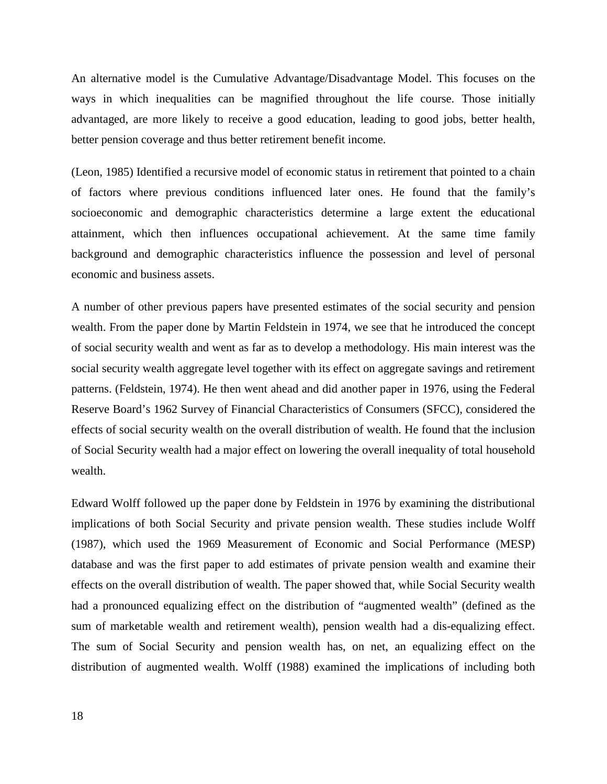An alternative model is the Cumulative Advantage/Disadvantage Model. This focuses on the ways in which inequalities can be magnified throughout the life course. Those initially advantaged, are more likely to receive a good education, leading to good jobs, better health, better pension coverage and thus better retirement benefit income.

(Leon, 1985) Identified a recursive model of economic status in retirement that pointed to a chain of factors where previous conditions influenced later ones. He found that the family's socioeconomic and demographic characteristics determine a large extent the educational attainment, which then influences occupational achievement. At the same time family background and demographic characteristics influence the possession and level of personal economic and business assets.

A number of other previous papers have presented estimates of the social security and pension wealth. From the paper done by Martin Feldstein in 1974, we see that he introduced the concept of social security wealth and went as far as to develop a methodology. His main interest was the social security wealth aggregate level together with its effect on aggregate savings and retirement patterns. (Feldstein, 1974). He then went ahead and did another paper in 1976, using the Federal Reserve Board's 1962 Survey of Financial Characteristics of Consumers (SFCC), considered the effects of social security wealth on the overall distribution of wealth. He found that the inclusion of Social Security wealth had a major effect on lowering the overall inequality of total household wealth.

Edward Wolff followed up the paper done by Feldstein in 1976 by examining the distributional implications of both Social Security and private pension wealth. These studies include Wolff (1987), which used the 1969 Measurement of Economic and Social Performance (MESP) database and was the first paper to add estimates of private pension wealth and examine their effects on the overall distribution of wealth. The paper showed that, while Social Security wealth had a pronounced equalizing effect on the distribution of "augmented wealth" (defined as the sum of marketable wealth and retirement wealth), pension wealth had a dis-equalizing effect. The sum of Social Security and pension wealth has, on net, an equalizing effect on the distribution of augmented wealth. Wolff (1988) examined the implications of including both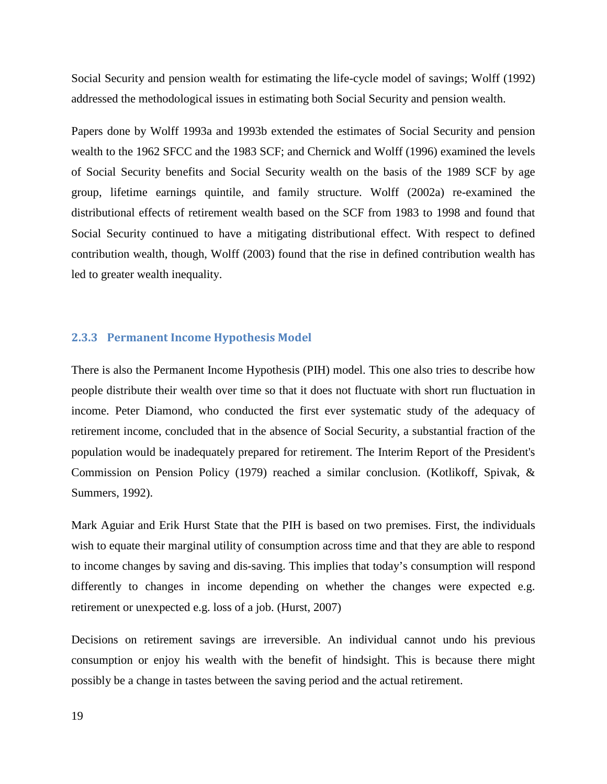Social Security and pension wealth for estimating the life-cycle model of savings; Wolff (1992) addressed the methodological issues in estimating both Social Security and pension wealth.

Papers done by Wolff 1993a and 1993b extended the estimates of Social Security and pension wealth to the 1962 SFCC and the 1983 SCF; and Chernick and Wolff (1996) examined the levels of Social Security benefits and Social Security wealth on the basis of the 1989 SCF by age group, lifetime earnings quintile, and family structure. Wolff (2002a) re-examined the distributional effects of retirement wealth based on the SCF from 1983 to 1998 and found that Social Security continued to have a mitigating distributional effect. With respect to defined contribution wealth, though, Wolff (2003) found that the rise in defined contribution wealth has led to greater wealth inequality.

#### <span id="page-18-0"></span>**2.3.3 Permanent Income Hypothesis Model**

There is also the Permanent Income Hypothesis (PIH) model. This one also tries to describe how people distribute their wealth over time so that it does not fluctuate with short run fluctuation in income. Peter Diamond, who conducted the first ever systematic study of the adequacy of retirement income, concluded that in the absence of Social Security, a substantial fraction of the population would be inadequately prepared for retirement. The Interim Report of the President's Commission on Pension Policy (1979) reached a similar conclusion. (Kotlikoff, Spivak, & Summers, 1992).

Mark Aguiar and Erik Hurst State that the PIH is based on two premises. First, the individuals wish to equate their marginal utility of consumption across time and that they are able to respond to income changes by saving and dis-saving. This implies that today's consumption will respond differently to changes in income depending on whether the changes were expected e.g. retirement or unexpected e.g. loss of a job. (Hurst, 2007)

Decisions on retirement savings are irreversible. An individual cannot undo his previous consumption or enjoy his wealth with the benefit of hindsight. This is because there might possibly be a change in tastes between the saving period and the actual retirement.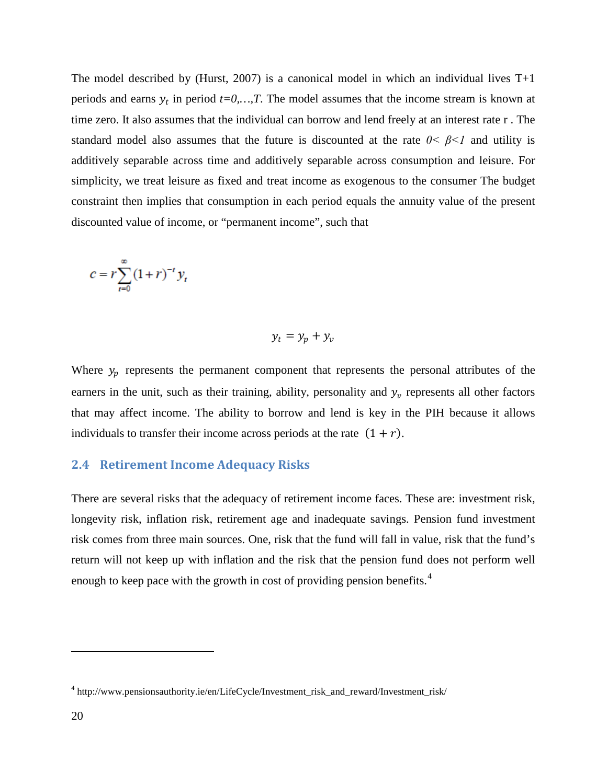The model described by (Hurst, 2007) is a canonical model in which an individual lives  $T+1$ periods and earns  $y_t$  in period  $t=0,...,T$ . The model assumes that the income stream is known at time zero. It also assumes that the individual can borrow and lend freely at an interest rate r . The standard model also assumes that the future is discounted at the rate  $0 < \beta < 1$  and utility is additively separable across time and additively separable across consumption and leisure. For simplicity, we treat leisure as fixed and treat income as exogenous to the consumer The budget constraint then implies that consumption in each period equals the annuity value of the present discounted value of income, or "permanent income", such that

$$
c = r \sum_{t=0}^{\infty} (1+r)^{-t} y_t
$$

$$
y_t = y_p + y_v
$$

Where  $y_p$  represents the permanent component that represents the personal attributes of the earners in the unit, such as their training, ability, personality and  $y_v$  represents all other factors that may affect income. The ability to borrow and lend is key in the PIH because it allows individuals to transfer their income across periods at the rate  $(1 + r)$ .

#### <span id="page-19-0"></span>**2.4 Retirement Income Adequacy Risks**

There are several risks that the adequacy of retirement income faces. These are: investment risk, longevity risk, inflation risk, retirement age and inadequate savings. Pension fund investment risk comes from three main sources. One, risk that the fund will fall in value, risk that the fund's return will not keep up with inflation and the risk that the pension fund does not perform well enough to keep pace with the growth in cost of providing pension benefits.<sup>[4](#page-19-1)</sup>

 $\overline{a}$ 

<span id="page-19-1"></span><sup>4</sup> http://www.pensionsauthority.ie/en/LifeCycle/Investment\_risk\_and\_reward/Investment\_risk/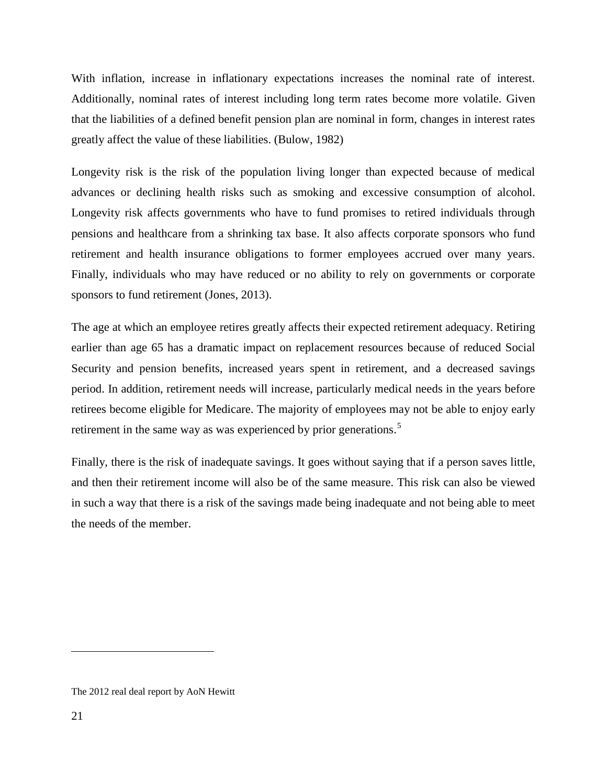With inflation, increase in inflationary expectations increases the nominal rate of interest. Additionally, nominal rates of interest including long term rates become more volatile. Given that the liabilities of a defined benefit pension plan are nominal in form, changes in interest rates greatly affect the value of these liabilities. (Bulow, 1982)

Longevity risk is the risk of the population living longer than expected because of medical advances or declining health risks such as smoking and excessive consumption of alcohol. Longevity risk affects governments who have to fund promises to retired individuals through pensions and healthcare from a shrinking tax base. It also affects corporate sponsors who fund retirement and health insurance obligations to former employees accrued over many years. Finally, individuals who may have reduced or no ability to rely on governments or corporate sponsors to fund retirement (Jones, 2013).

The age at which an employee retires greatly affects their expected retirement adequacy. Retiring earlier than age 65 has a dramatic impact on replacement resources because of reduced Social Security and pension benefits, increased years spent in retirement, and a decreased savings period. In addition, retirement needs will increase, particularly medical needs in the years before retirees become eligible for Medicare. The majority of employees may not be able to enjoy early retirement in the same way as was experienced by prior generations.<sup>[5](#page-20-0)</sup>

Finally, there is the risk of inadequate savings. It goes without saying that if a person saves little, and then their retirement income will also be of the same measure. This risk can also be viewed in such a way that there is a risk of the savings made being inadequate and not being able to meet the needs of the member.

 $\overline{a}$ 

<span id="page-20-0"></span>The 2012 real deal report by AoN Hewitt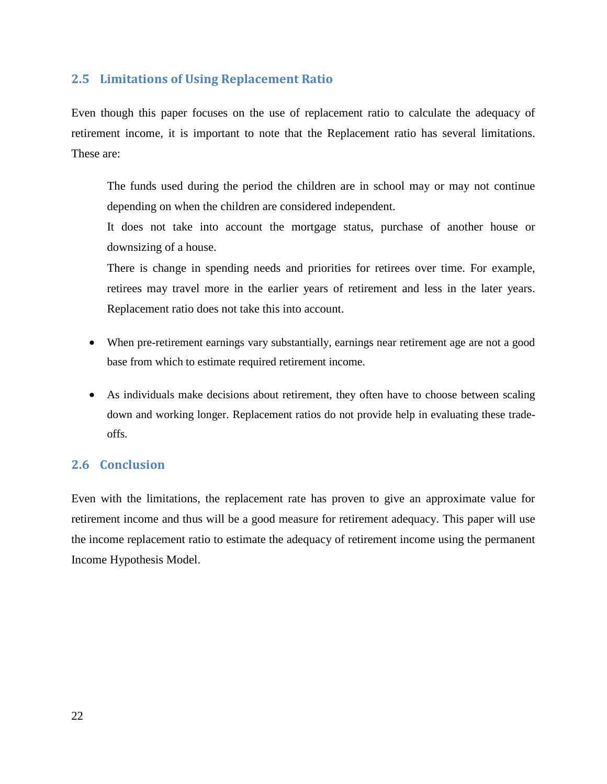## <span id="page-21-0"></span>**2.5 Limitations of Using Replacement Ratio**

Even though this paper focuses on the use of replacement ratio to calculate the adequacy of retirement income, it is important to note that the Replacement ratio has several limitations. These are:

The funds used during the period the children are in school may or may not continue depending on when the children are considered independent.

It does not take into account the mortgage status, purchase of another house or downsizing of a house.

There is change in spending needs and priorities for retirees over time. For example, retirees may travel more in the earlier years of retirement and less in the later years. Replacement ratio does not take this into account.

- When pre-retirement earnings vary substantially, earnings near retirement age are not a good base from which to estimate required retirement income.
- As individuals make decisions about retirement, they often have to choose between scaling down and working longer. Replacement ratios do not provide help in evaluating these tradeoffs.

# <span id="page-21-1"></span>**2.6 Conclusion**

Even with the limitations, the replacement rate has proven to give an approximate value for retirement income and thus will be a good measure for retirement adequacy. This paper will use the income replacement ratio to estimate the adequacy of retirement income using the permanent Income Hypothesis Model.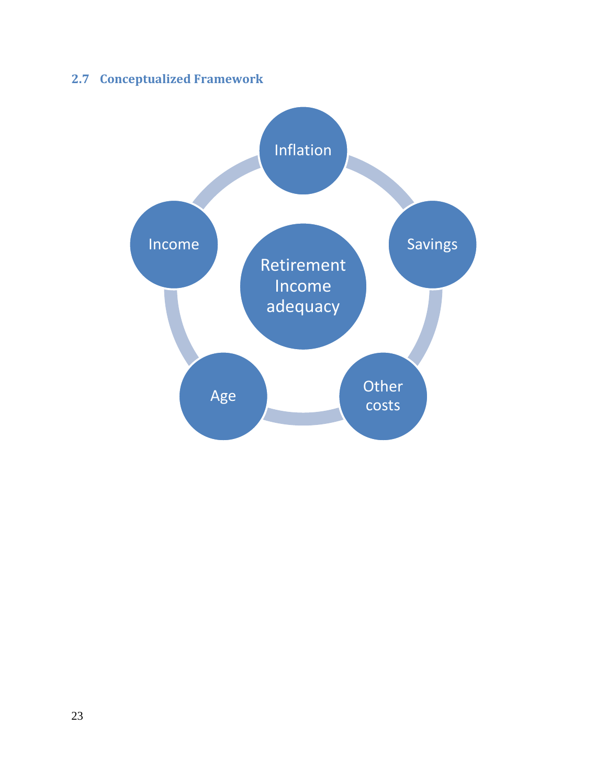# <span id="page-22-0"></span>**2.7 Conceptualized Framework**

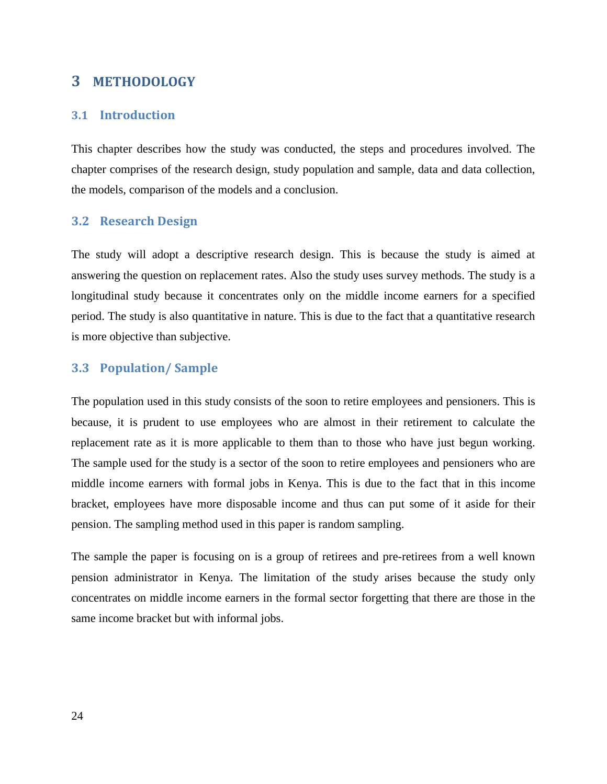# **3 METHODOLOGY**

#### <span id="page-23-1"></span><span id="page-23-0"></span>**3.1 Introduction**

This chapter describes how the study was conducted, the steps and procedures involved. The chapter comprises of the research design, study population and sample, data and data collection, the models, comparison of the models and a conclusion.

#### <span id="page-23-2"></span>**3.2 Research Design**

The study will adopt a descriptive research design. This is because the study is aimed at answering the question on replacement rates. Also the study uses survey methods. The study is a longitudinal study because it concentrates only on the middle income earners for a specified period. The study is also quantitative in nature. This is due to the fact that a quantitative research is more objective than subjective.

#### <span id="page-23-3"></span>**3.3 Population/ Sample**

The population used in this study consists of the soon to retire employees and pensioners. This is because, it is prudent to use employees who are almost in their retirement to calculate the replacement rate as it is more applicable to them than to those who have just begun working. The sample used for the study is a sector of the soon to retire employees and pensioners who are middle income earners with formal jobs in Kenya. This is due to the fact that in this income bracket, employees have more disposable income and thus can put some of it aside for their pension. The sampling method used in this paper is random sampling.

The sample the paper is focusing on is a group of retirees and pre-retirees from a well known pension administrator in Kenya. The limitation of the study arises because the study only concentrates on middle income earners in the formal sector forgetting that there are those in the same income bracket but with informal jobs.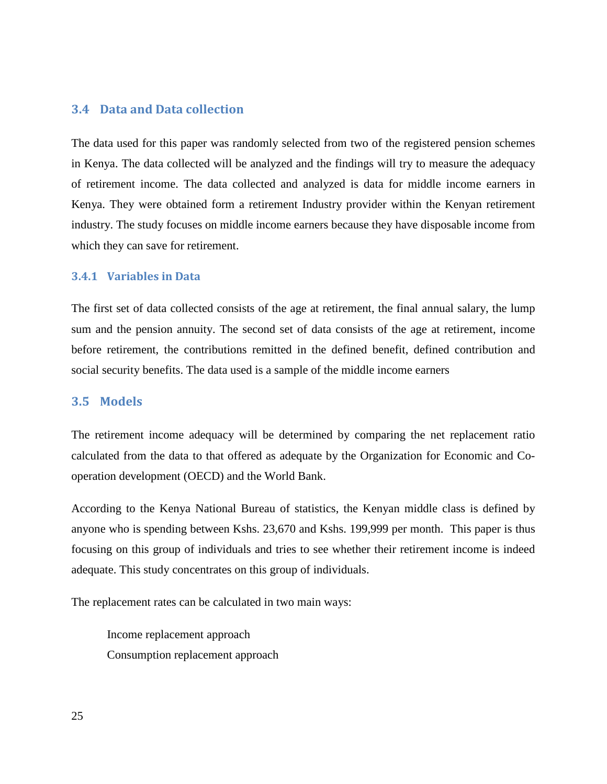## <span id="page-24-0"></span>**3.4 Data and Data collection**

The data used for this paper was randomly selected from two of the registered pension schemes in Kenya. The data collected will be analyzed and the findings will try to measure the adequacy of retirement income. The data collected and analyzed is data for middle income earners in Kenya. They were obtained form a retirement Industry provider within the Kenyan retirement industry. The study focuses on middle income earners because they have disposable income from which they can save for retirement.

#### <span id="page-24-1"></span>**3.4.1 Variables in Data**

The first set of data collected consists of the age at retirement, the final annual salary, the lump sum and the pension annuity. The second set of data consists of the age at retirement, income before retirement, the contributions remitted in the defined benefit, defined contribution and social security benefits. The data used is a sample of the middle income earners

#### <span id="page-24-2"></span>**3.5 Models**

The retirement income adequacy will be determined by comparing the net replacement ratio calculated from the data to that offered as adequate by the Organization for Economic and Cooperation development (OECD) and the World Bank.

According to the Kenya National Bureau of statistics, the Kenyan middle class is defined by anyone who is spending between Kshs. 23,670 and Kshs. 199,999 per month. This paper is thus focusing on this group of individuals and tries to see whether their retirement income is indeed adequate. This study concentrates on this group of individuals.

The replacement rates can be calculated in two main ways:

Income replacement approach Consumption replacement approach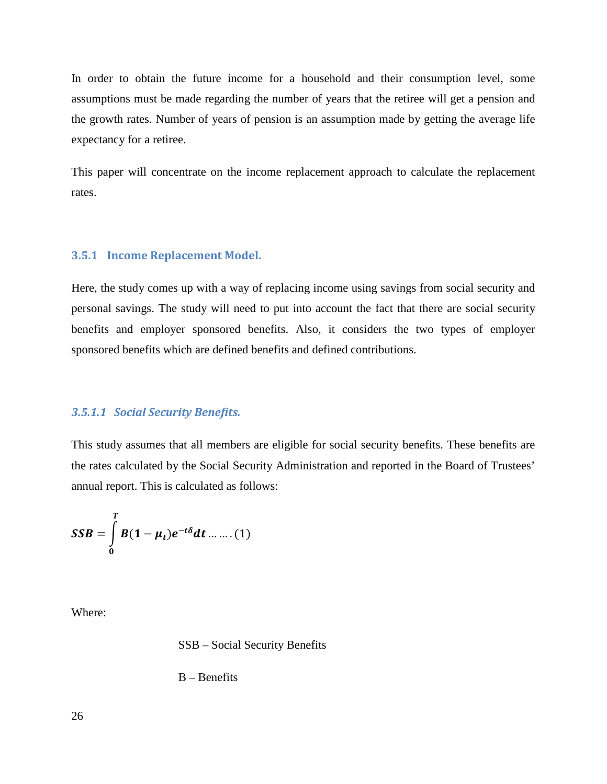In order to obtain the future income for a household and their consumption level, some assumptions must be made regarding the number of years that the retiree will get a pension and the growth rates. Number of years of pension is an assumption made by getting the average life expectancy for a retiree.

This paper will concentrate on the income replacement approach to calculate the replacement rates.

#### <span id="page-25-0"></span>**3.5.1 Income Replacement Model.**

Here, the study comes up with a way of replacing income using savings from social security and personal savings. The study will need to put into account the fact that there are social security benefits and employer sponsored benefits. Also, it considers the two types of employer sponsored benefits which are defined benefits and defined contributions.

#### *3.5.1.1 Social Security Benefits.*

This study assumes that all members are eligible for social security benefits. These benefits are the rates calculated by the Social Security Administration and reported in the Board of Trustees' annual report. This is calculated as follows:

$$
SSB = \int_{0}^{T} B(1-\mu_t)e^{-t\delta}dt \dots \dots (1)
$$

Where:

SSB – Social Security Benefits

B – Benefits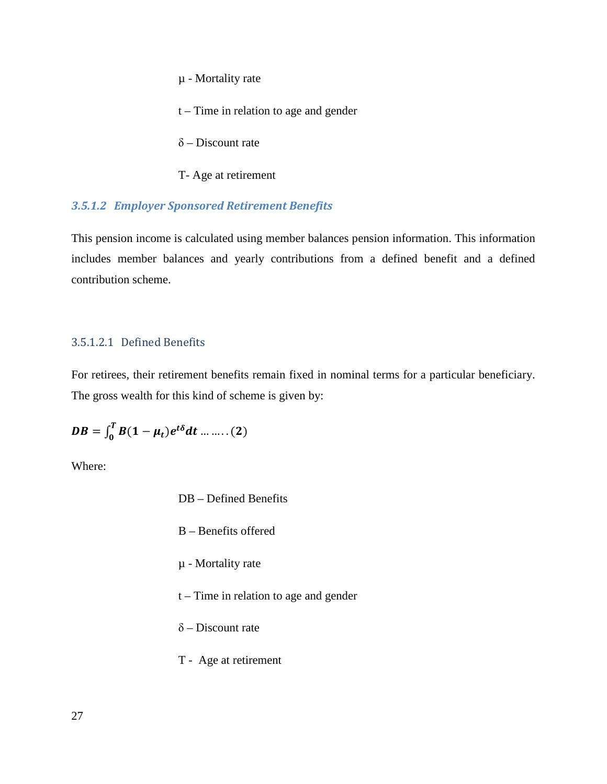µ - Mortality rate

t – Time in relation to age and gender

 $\delta$  – Discount rate

T- Age at retirement

## *3.5.1.2 Employer Sponsored Retirement Benefits*

This pension income is calculated using member balances pension information. This information includes member balances and yearly contributions from a defined benefit and a defined contribution scheme.

#### 3.5.1.2.1 Defined Benefits

For retirees, their retirement benefits remain fixed in nominal terms for a particular beneficiary. The gross wealth for this kind of scheme is given by:

$$
DB = \int_0^T B(1-\mu_t)e^{t\delta}dt \dots \dots \dots (2)
$$

Where:

- DB Defined Benefits
- B Benefits offered
- µ Mortality rate
- t Time in relation to age and gender
- δ Discount rate
- T Age at retirement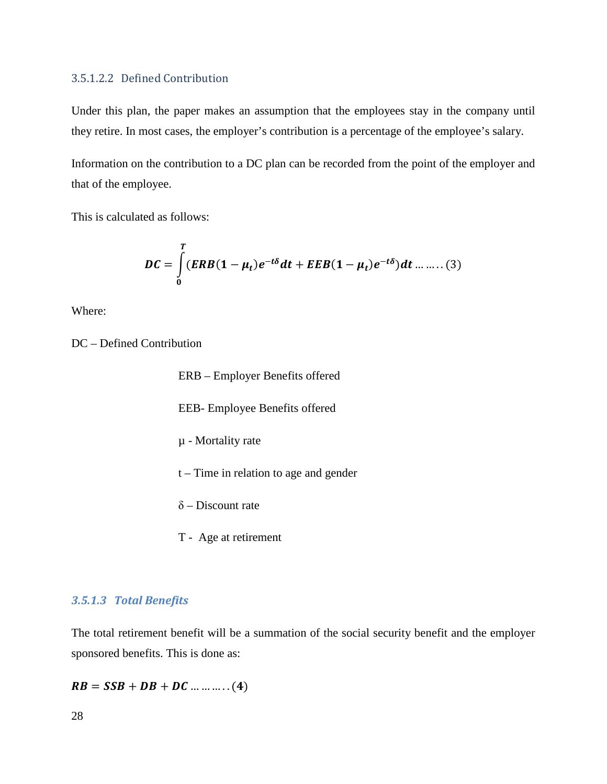#### 3.5.1.2.2 Defined Contribution

Under this plan, the paper makes an assumption that the employees stay in the company until they retire. In most cases, the employer's contribution is a percentage of the employee's salary.

Information on the contribution to a DC plan can be recorded from the point of the employer and that of the employee.

This is calculated as follows:

$$
DC = \int_{0}^{T} (ERB(1 - \mu_{t})e^{-t\delta}dt + EEB(1 - \mu_{t})e^{-t\delta})dt \dots \dots (3)
$$

Where:

DC – Defined Contribution

ERB – Employer Benefits offered EEB- Employee Benefits offered µ - Mortality rate t – Time in relation to age and gender  $\delta$  – Discount rate

T - Age at retirement

#### *3.5.1.3 Total Benefits*

The total retirement benefit will be a summation of the social security benefit and the employer sponsored benefits. This is done as:

$$
RB = SSB + DB + DC \dots \dots \dots (4)
$$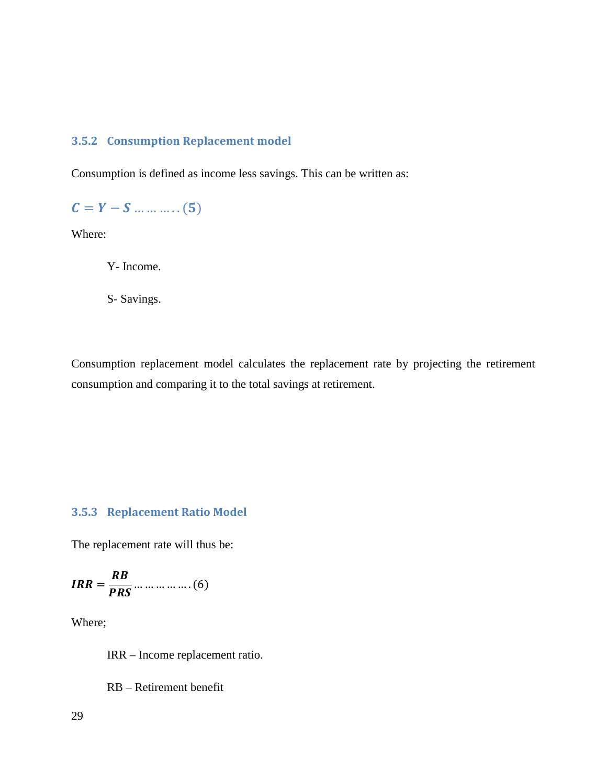## <span id="page-28-0"></span>**3.5.2 Consumption Replacement model**

Consumption is defined as income less savings. This can be written as:

 $C = Y - S ... ... ... (5)$ 

Where:

Y- Income.

S- Savings.

Consumption replacement model calculates the replacement rate by projecting the retirement consumption and comparing it to the total savings at retirement.

## <span id="page-28-1"></span>**3.5.3 Replacement Ratio Model**

The replacement rate will thus be:

<sup>=</sup> … … … … … . (6)

Where;

IRR – Income replacement ratio.

RB – Retirement benefit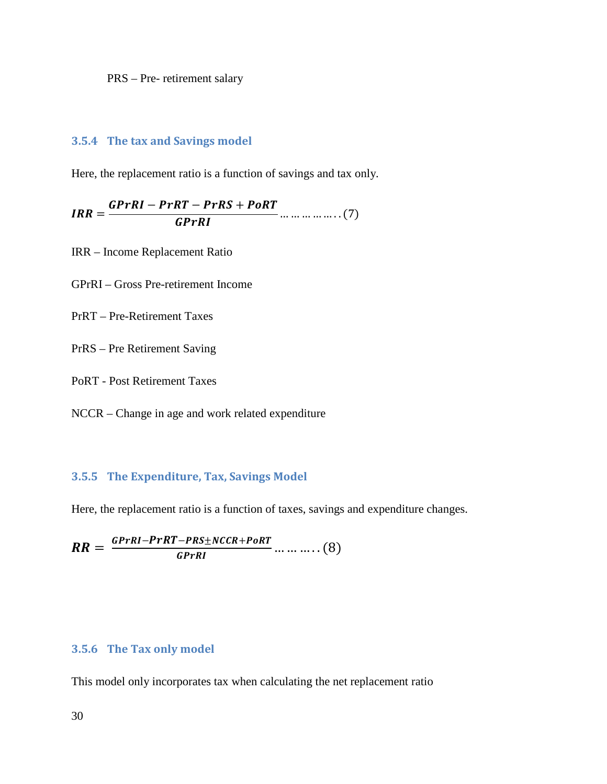PRS – Pre- retirement salary

#### <span id="page-29-0"></span>**3.5.4 The tax and Savings model**

Here, the replacement ratio is a function of savings and tax only.

 $IRR = \frac{GPrRI - PrRT - PrRS + Po}{GPrRI}$  $GPrRI$  . ... ... ... ... ... ... (7)

IRR – Income Replacement Ratio

GPrRI – Gross Pre-retirement Income

PrRT – Pre-Retirement Taxes

PrRS – Pre Retirement Saving

PoRT - Post Retirement Taxes

NCCR – Change in age and work related expenditure

#### <span id="page-29-1"></span>**3.5.5 The Expenditure, Tax, Savings Model**

Here, the replacement ratio is a function of taxes, savings and expenditure changes.

 $= \frac{GPrRI - PrRT - PRS \pm NCCR + PoRT}{GPrRI} \dots \dots \dots \dots (8)$ 

#### <span id="page-29-2"></span>**3.5.6 The Tax only model**

This model only incorporates tax when calculating the net replacement ratio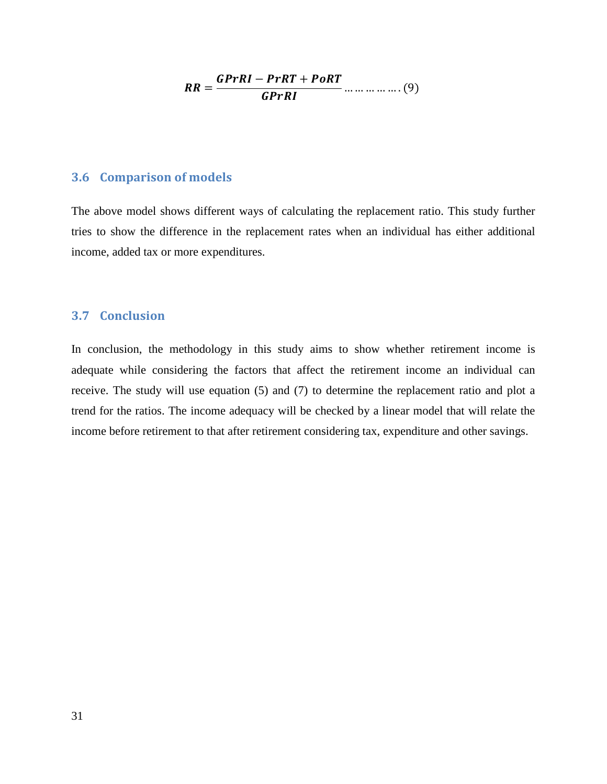$$
RR = \frac{GPrRI - PrRT + PoRT}{GPrRI} \dots \dots \dots \dots \dots (9)
$$

#### <span id="page-30-0"></span>**3.6 Comparison of models**

The above model shows different ways of calculating the replacement ratio. This study further tries to show the difference in the replacement rates when an individual has either additional income, added tax or more expenditures.

#### <span id="page-30-1"></span>**3.7 Conclusion**

In conclusion, the methodology in this study aims to show whether retirement income is adequate while considering the factors that affect the retirement income an individual can receive. The study will use equation (5) and (7) to determine the replacement ratio and plot a trend for the ratios. The income adequacy will be checked by a linear model that will relate the income before retirement to that after retirement considering tax, expenditure and other savings.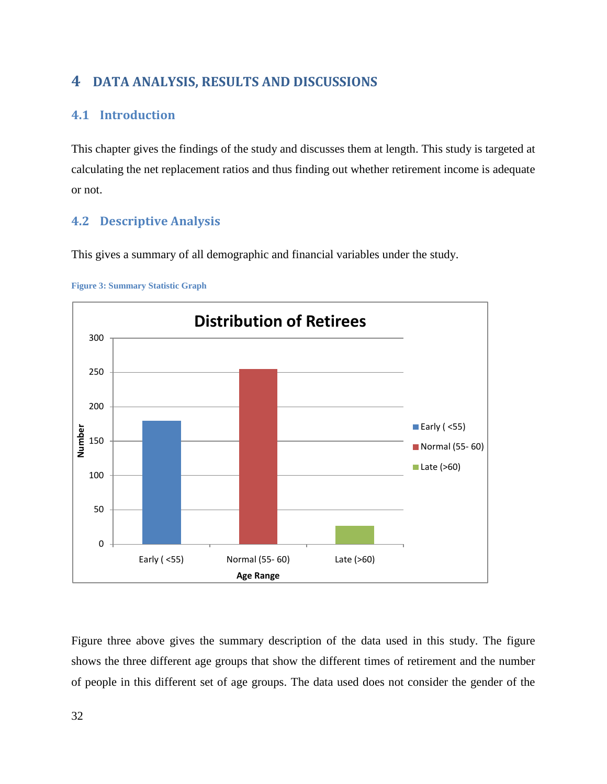# <span id="page-31-0"></span>**4 DATA ANALYSIS, RESULTS AND DISCUSSIONS**

# <span id="page-31-1"></span>**4.1 Introduction**

This chapter gives the findings of the study and discusses them at length. This study is targeted at calculating the net replacement ratios and thus finding out whether retirement income is adequate or not.

# <span id="page-31-2"></span>**4.2 Descriptive Analysis**

This gives a summary of all demographic and financial variables under the study.



<span id="page-31-3"></span>

Figure three above gives the summary description of the data used in this study. The figure shows the three different age groups that show the different times of retirement and the number of people in this different set of age groups. The data used does not consider the gender of the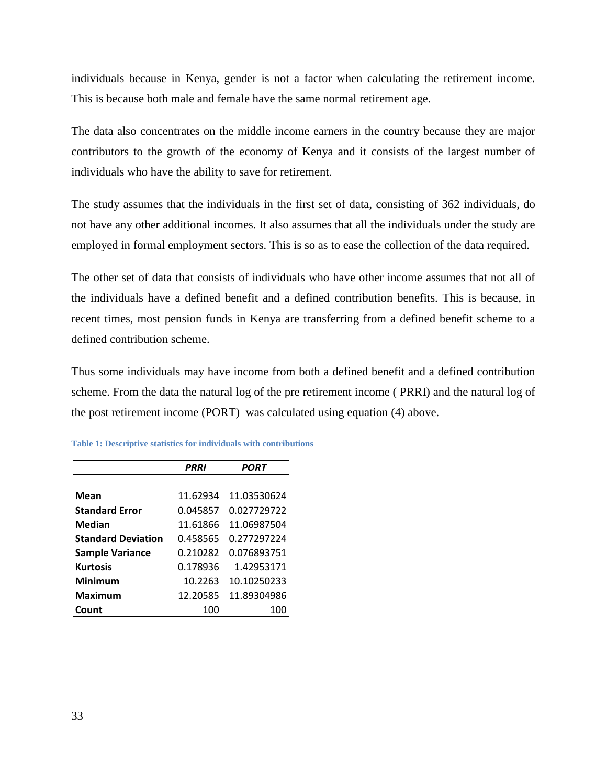individuals because in Kenya, gender is not a factor when calculating the retirement income. This is because both male and female have the same normal retirement age.

The data also concentrates on the middle income earners in the country because they are major contributors to the growth of the economy of Kenya and it consists of the largest number of individuals who have the ability to save for retirement.

The study assumes that the individuals in the first set of data, consisting of 362 individuals, do not have any other additional incomes. It also assumes that all the individuals under the study are employed in formal employment sectors. This is so as to ease the collection of the data required.

The other set of data that consists of individuals who have other income assumes that not all of the individuals have a defined benefit and a defined contribution benefits. This is because, in recent times, most pension funds in Kenya are transferring from a defined benefit scheme to a defined contribution scheme.

Thus some individuals may have income from both a defined benefit and a defined contribution scheme. From the data the natural log of the pre retirement income ( PRRI) and the natural log of the post retirement income (PORT) was calculated using equation (4) above.

|                           | <b>PRRI</b> | PORT        |
|---------------------------|-------------|-------------|
|                           |             |             |
| Mean                      | 11.62934    | 11.03530624 |
| <b>Standard Error</b>     | 0.045857    | 0.027729722 |
| <b>Median</b>             | 11.61866    | 11.06987504 |
| <b>Standard Deviation</b> | 0.458565    | 0.277297224 |
| <b>Sample Variance</b>    | 0.210282    | 0.076893751 |
| <b>Kurtosis</b>           | 0.178936    | 1.42953171  |
| Minimum                   | 10.2263     | 10.10250233 |
| Maximum                   | 12.20585    | 11.89304986 |
| Count                     | 100         | 100         |

<span id="page-32-0"></span>**Table 1: Descriptive statistics for individuals with contributions**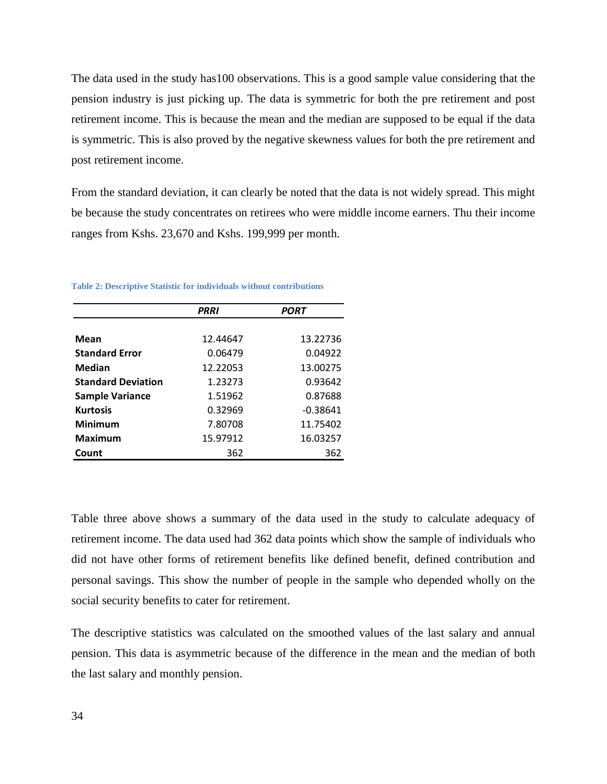The data used in the study has100 observations. This is a good sample value considering that the pension industry is just picking up. The data is symmetric for both the pre retirement and post retirement income. This is because the mean and the median are supposed to be equal if the data is symmetric. This is also proved by the negative skewness values for both the pre retirement and post retirement income.

From the standard deviation, it can clearly be noted that the data is not widely spread. This might be because the study concentrates on retirees who were middle income earners. Thu their income ranges from Kshs. 23,670 and Kshs. 199,999 per month.

|                           | <b>PRRI</b> | <b>PORT</b> |
|---------------------------|-------------|-------------|
|                           |             |             |
| <b>Mean</b>               | 12.44647    | 13.22736    |
| <b>Standard Error</b>     | 0.06479     | 0.04922     |
| Median                    | 12.22053    | 13.00275    |
| <b>Standard Deviation</b> | 1.23273     | 0.93642     |
| <b>Sample Variance</b>    | 1.51962     | 0.87688     |
| <b>Kurtosis</b>           | 0.32969     | $-0.38641$  |
| <b>Minimum</b>            | 7.80708     | 11.75402    |
| <b>Maximum</b>            | 15.97912    | 16.03257    |
| Count                     | 362         | 362         |

<span id="page-33-0"></span>**Table 2: Descriptive Statistic for individuals without contributions**

Table three above shows a summary of the data used in the study to calculate adequacy of retirement income. The data used had 362 data points which show the sample of individuals who did not have other forms of retirement benefits like defined benefit, defined contribution and personal savings. This show the number of people in the sample who depended wholly on the social security benefits to cater for retirement.

The descriptive statistics was calculated on the smoothed values of the last salary and annual pension. This data is asymmetric because of the difference in the mean and the median of both the last salary and monthly pension.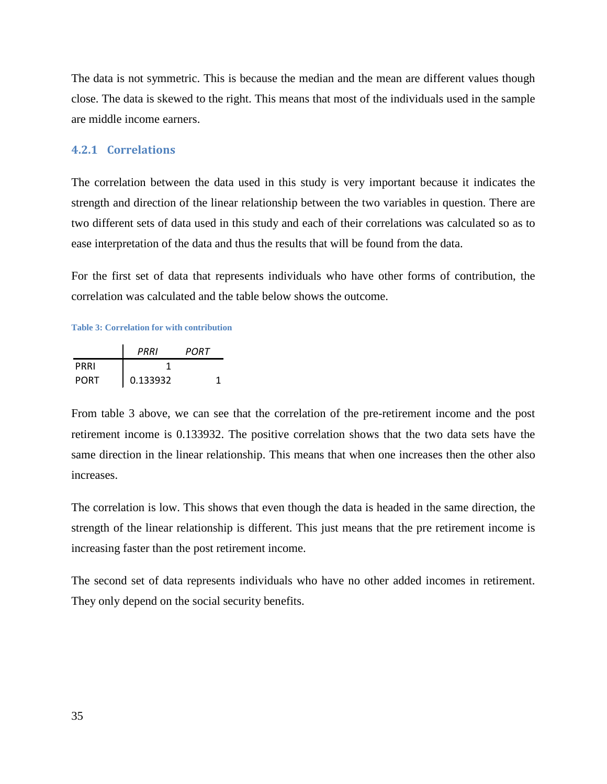The data is not symmetric. This is because the median and the mean are different values though close. The data is skewed to the right. This means that most of the individuals used in the sample are middle income earners.

#### <span id="page-34-0"></span>**4.2.1 Correlations**

The correlation between the data used in this study is very important because it indicates the strength and direction of the linear relationship between the two variables in question. There are two different sets of data used in this study and each of their correlations was calculated so as to ease interpretation of the data and thus the results that will be found from the data.

For the first set of data that represents individuals who have other forms of contribution, the correlation was calculated and the table below shows the outcome.

#### <span id="page-34-1"></span>**Table 3: Correlation for with contribution**

|             | PRRI     | PORT |
|-------------|----------|------|
| PRRI        |          |      |
| <b>PORT</b> | 0.133932 |      |

From table 3 above, we can see that the correlation of the pre-retirement income and the post retirement income is 0.133932. The positive correlation shows that the two data sets have the same direction in the linear relationship. This means that when one increases then the other also increases.

The correlation is low. This shows that even though the data is headed in the same direction, the strength of the linear relationship is different. This just means that the pre retirement income is increasing faster than the post retirement income.

The second set of data represents individuals who have no other added incomes in retirement. They only depend on the social security benefits.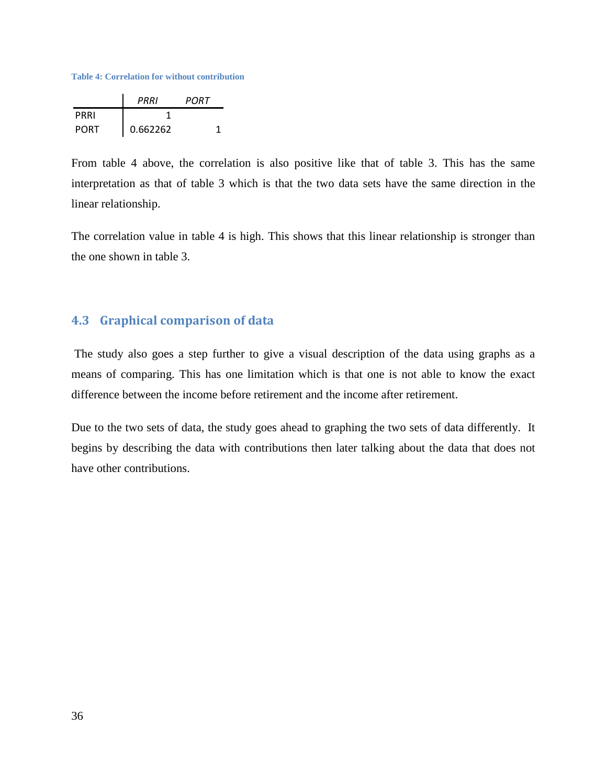<span id="page-35-1"></span>**Table 4: Correlation for without contribution**

|             | PRRI     | PORT |
|-------------|----------|------|
| PRRI        |          |      |
| <b>PORT</b> | 0.662262 |      |

From table 4 above, the correlation is also positive like that of table 3. This has the same interpretation as that of table 3 which is that the two data sets have the same direction in the linear relationship.

The correlation value in table 4 is high. This shows that this linear relationship is stronger than the one shown in table 3.

## <span id="page-35-0"></span>**4.3 Graphical comparison of data**

The study also goes a step further to give a visual description of the data using graphs as a means of comparing. This has one limitation which is that one is not able to know the exact difference between the income before retirement and the income after retirement.

Due to the two sets of data, the study goes ahead to graphing the two sets of data differently. It begins by describing the data with contributions then later talking about the data that does not have other contributions.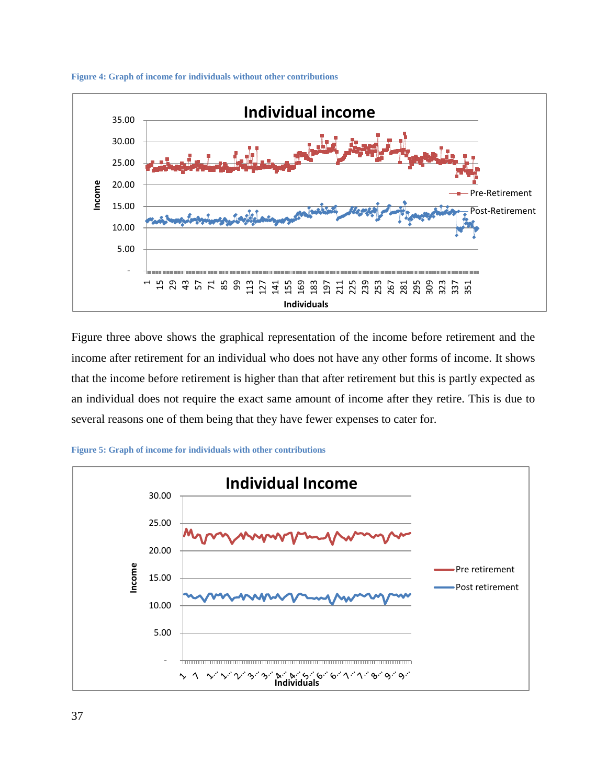<span id="page-36-0"></span>



Figure three above shows the graphical representation of the income before retirement and the income after retirement for an individual who does not have any other forms of income. It shows that the income before retirement is higher than that after retirement but this is partly expected as an individual does not require the exact same amount of income after they retire. This is due to several reasons one of them being that they have fewer expenses to cater for.



<span id="page-36-1"></span>**Figure 5: Graph of income for individuals with other contributions**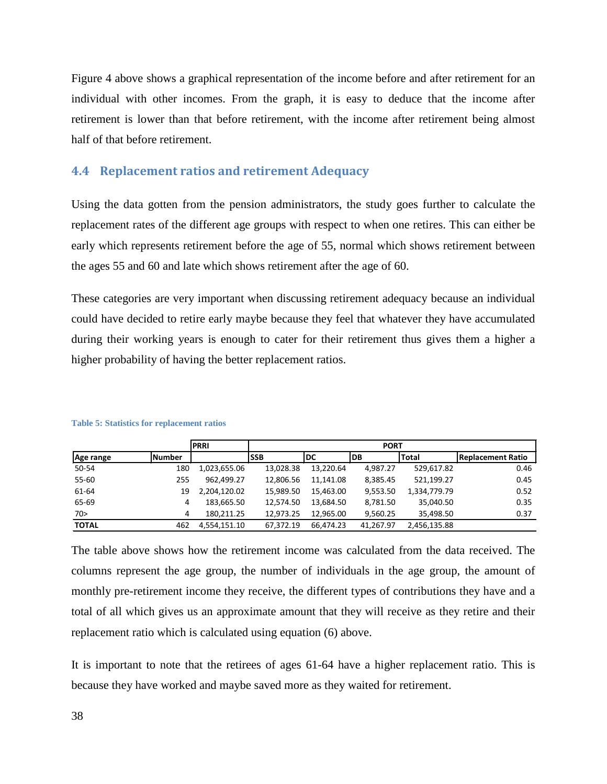Figure 4 above shows a graphical representation of the income before and after retirement for an individual with other incomes. From the graph, it is easy to deduce that the income after retirement is lower than that before retirement, with the income after retirement being almost half of that before retirement.

#### <span id="page-37-0"></span>**4.4 Replacement ratios and retirement Adequacy**

Using the data gotten from the pension administrators, the study goes further to calculate the replacement rates of the different age groups with respect to when one retires. This can either be early which represents retirement before the age of 55, normal which shows retirement between the ages 55 and 60 and late which shows retirement after the age of 60.

These categories are very important when discussing retirement adequacy because an individual could have decided to retire early maybe because they feel that whatever they have accumulated during their working years is enough to cater for their retirement thus gives them a higher a higher probability of having the better replacement ratios.

|              |               | <b>PRRI</b>  | <b>PORT</b> |           |           |              |                          |
|--------------|---------------|--------------|-------------|-----------|-----------|--------------|--------------------------|
| Age range    | <b>Number</b> |              | <b>SSB</b>  | DC        | <b>DB</b> | <b>Total</b> | <b>Replacement Ratio</b> |
| 50-54        | 180           | 1,023,655.06 | 13,028.38   | 13,220.64 | 4.987.27  | 529,617.82   | 0.46                     |
| $55 - 60$    | 255           | 962,499.27   | 12,806.56   | 11.141.08 | 8.385.45  | 521,199.27   | 0.45                     |
| 61-64        | 19            | 2.204.120.02 | 15.989.50   | 15.463.00 | 9,553.50  | 1,334,779.79 | 0.52                     |
| 65-69        | 4             | 183,665.50   | 12,574.50   | 13.684.50 | 8,781.50  | 35,040.50    | 0.35                     |
| 70>          | 4             | 180.211.25   | 12,973.25   | 12.965.00 | 9,560.25  | 35,498.50    | 0.37                     |
| <b>TOTAL</b> | 462           | 4.554.151.10 | 67.372.19   | 66.474.23 | 41.267.97 | 2,456,135.88 |                          |

#### <span id="page-37-1"></span>**Table 5: Statistics for replacement ratios**

The table above shows how the retirement income was calculated from the data received. The columns represent the age group, the number of individuals in the age group, the amount of monthly pre-retirement income they receive, the different types of contributions they have and a total of all which gives us an approximate amount that they will receive as they retire and their replacement ratio which is calculated using equation (6) above.

It is important to note that the retirees of ages 61-64 have a higher replacement ratio. This is because they have worked and maybe saved more as they waited for retirement.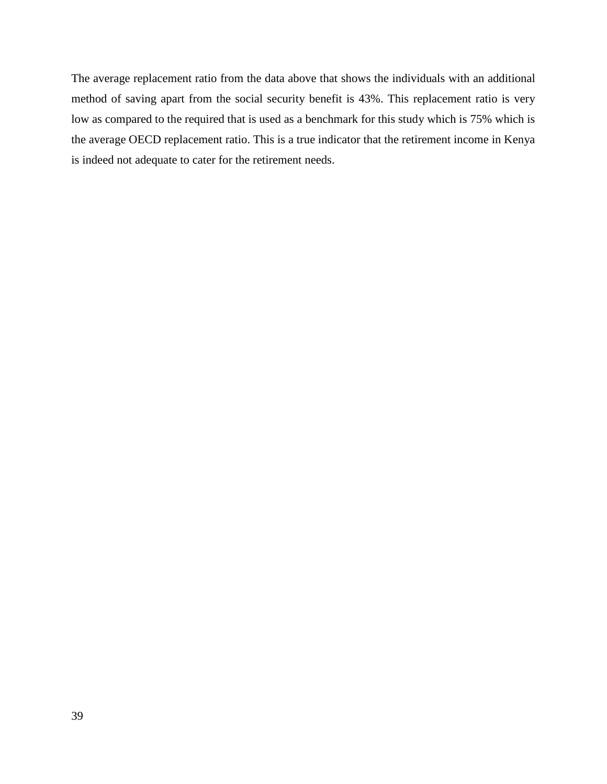The average replacement ratio from the data above that shows the individuals with an additional method of saving apart from the social security benefit is 43%. This replacement ratio is very low as compared to the required that is used as a benchmark for this study which is 75% which is the average OECD replacement ratio. This is a true indicator that the retirement income in Kenya is indeed not adequate to cater for the retirement needs.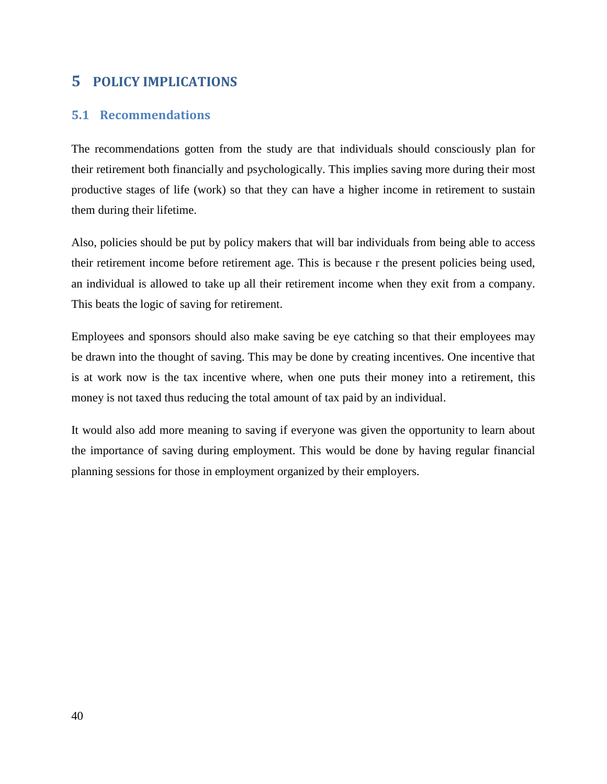# <span id="page-39-0"></span>**5 POLICY IMPLICATIONS**

## <span id="page-39-1"></span>**5.1 Recommendations**

The recommendations gotten from the study are that individuals should consciously plan for their retirement both financially and psychologically. This implies saving more during their most productive stages of life (work) so that they can have a higher income in retirement to sustain them during their lifetime.

Also, policies should be put by policy makers that will bar individuals from being able to access their retirement income before retirement age. This is because r the present policies being used, an individual is allowed to take up all their retirement income when they exit from a company. This beats the logic of saving for retirement.

Employees and sponsors should also make saving be eye catching so that their employees may be drawn into the thought of saving. This may be done by creating incentives. One incentive that is at work now is the tax incentive where, when one puts their money into a retirement, this money is not taxed thus reducing the total amount of tax paid by an individual.

It would also add more meaning to saving if everyone was given the opportunity to learn about the importance of saving during employment. This would be done by having regular financial planning sessions for those in employment organized by their employers.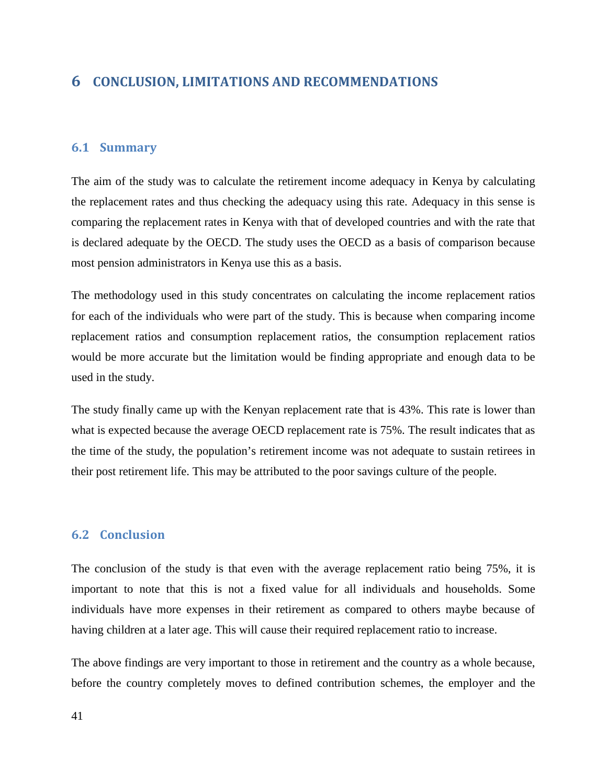## <span id="page-40-0"></span>**6 CONCLUSION, LIMITATIONS AND RECOMMENDATIONS**

#### <span id="page-40-1"></span>**6.1 Summary**

The aim of the study was to calculate the retirement income adequacy in Kenya by calculating the replacement rates and thus checking the adequacy using this rate. Adequacy in this sense is comparing the replacement rates in Kenya with that of developed countries and with the rate that is declared adequate by the OECD. The study uses the OECD as a basis of comparison because most pension administrators in Kenya use this as a basis.

The methodology used in this study concentrates on calculating the income replacement ratios for each of the individuals who were part of the study. This is because when comparing income replacement ratios and consumption replacement ratios, the consumption replacement ratios would be more accurate but the limitation would be finding appropriate and enough data to be used in the study.

The study finally came up with the Kenyan replacement rate that is 43%. This rate is lower than what is expected because the average OECD replacement rate is 75%. The result indicates that as the time of the study, the population's retirement income was not adequate to sustain retirees in their post retirement life. This may be attributed to the poor savings culture of the people.

#### <span id="page-40-2"></span>**6.2 Conclusion**

The conclusion of the study is that even with the average replacement ratio being 75%, it is important to note that this is not a fixed value for all individuals and households. Some individuals have more expenses in their retirement as compared to others maybe because of having children at a later age. This will cause their required replacement ratio to increase.

The above findings are very important to those in retirement and the country as a whole because, before the country completely moves to defined contribution schemes, the employer and the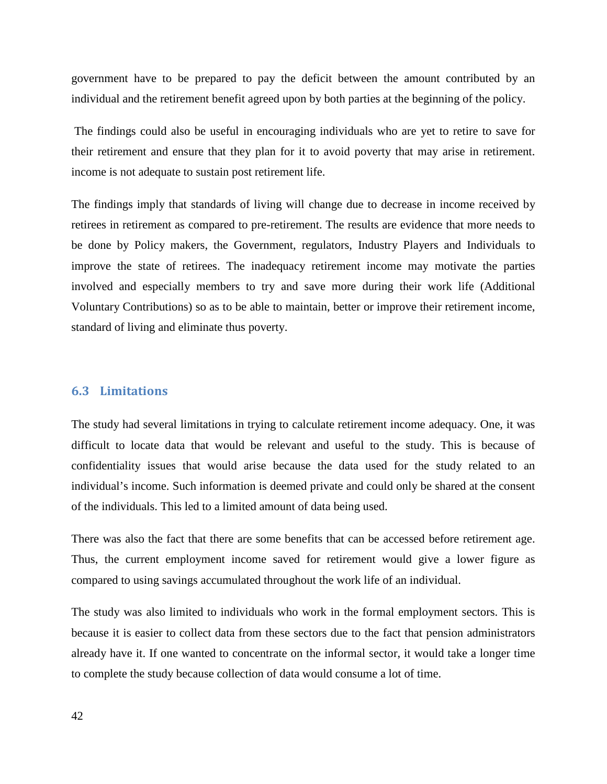government have to be prepared to pay the deficit between the amount contributed by an individual and the retirement benefit agreed upon by both parties at the beginning of the policy.

The findings could also be useful in encouraging individuals who are yet to retire to save for their retirement and ensure that they plan for it to avoid poverty that may arise in retirement. income is not adequate to sustain post retirement life.

The findings imply that standards of living will change due to decrease in income received by retirees in retirement as compared to pre-retirement. The results are evidence that more needs to be done by Policy makers, the Government, regulators, Industry Players and Individuals to improve the state of retirees. The inadequacy retirement income may motivate the parties involved and especially members to try and save more during their work life (Additional Voluntary Contributions) so as to be able to maintain, better or improve their retirement income, standard of living and eliminate thus poverty.

#### <span id="page-41-0"></span>**6.3 Limitations**

The study had several limitations in trying to calculate retirement income adequacy. One, it was difficult to locate data that would be relevant and useful to the study. This is because of confidentiality issues that would arise because the data used for the study related to an individual's income. Such information is deemed private and could only be shared at the consent of the individuals. This led to a limited amount of data being used.

There was also the fact that there are some benefits that can be accessed before retirement age. Thus, the current employment income saved for retirement would give a lower figure as compared to using savings accumulated throughout the work life of an individual.

The study was also limited to individuals who work in the formal employment sectors. This is because it is easier to collect data from these sectors due to the fact that pension administrators already have it. If one wanted to concentrate on the informal sector, it would take a longer time to complete the study because collection of data would consume a lot of time.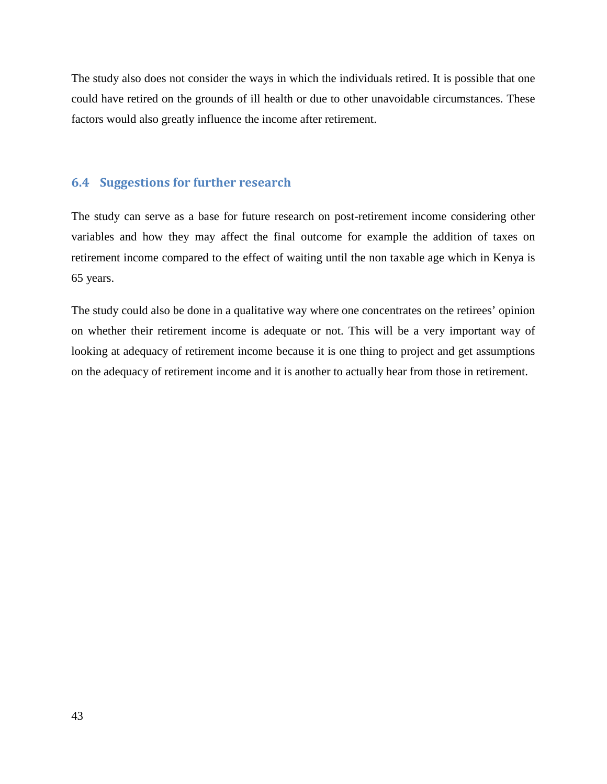The study also does not consider the ways in which the individuals retired. It is possible that one could have retired on the grounds of ill health or due to other unavoidable circumstances. These factors would also greatly influence the income after retirement.

#### <span id="page-42-0"></span>**6.4 Suggestions for further research**

The study can serve as a base for future research on post-retirement income considering other variables and how they may affect the final outcome for example the addition of taxes on retirement income compared to the effect of waiting until the non taxable age which in Kenya is 65 years.

The study could also be done in a qualitative way where one concentrates on the retirees' opinion on whether their retirement income is adequate or not. This will be a very important way of looking at adequacy of retirement income because it is one thing to project and get assumptions on the adequacy of retirement income and it is another to actually hear from those in retirement.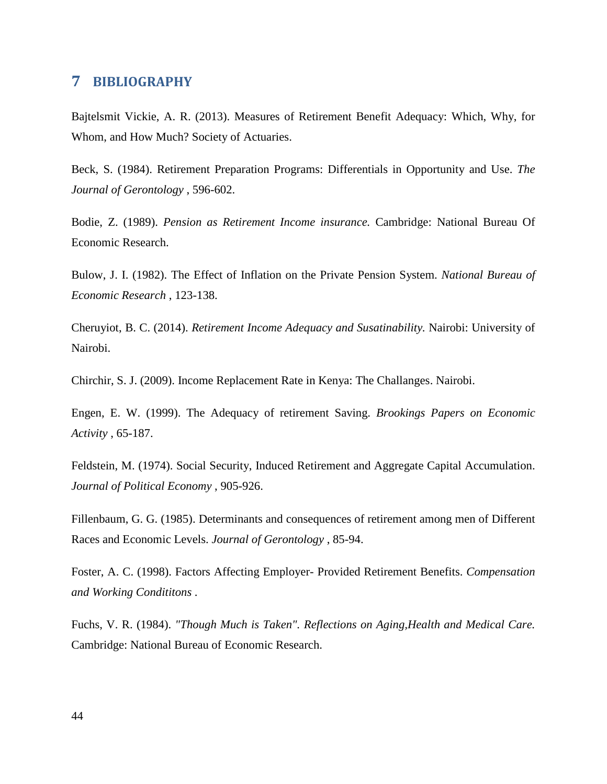## <span id="page-43-0"></span>**7 BIBLIOGRAPHY**

Bajtelsmit Vickie, A. R. (2013). Measures of Retirement Benefit Adequacy: Which, Why, for Whom, and How Much? Society of Actuaries.

Beck, S. (1984). Retirement Preparation Programs: Differentials in Opportunity and Use. *The Journal of Gerontology* , 596-602.

Bodie, Z. (1989). *Pension as Retirement Income insurance.* Cambridge: National Bureau Of Economic Research.

Bulow, J. I. (1982). The Effect of Inflation on the Private Pension System. *National Bureau of Economic Research* , 123-138.

Cheruyiot, B. C. (2014). *Retirement Income Adequacy and Susatinability.* Nairobi: University of Nairobi.

Chirchir, S. J. (2009). Income Replacement Rate in Kenya: The Challanges. Nairobi.

Engen, E. W. (1999). The Adequacy of retirement Saving. *Brookings Papers on Economic Activity* , 65-187.

Feldstein, M. (1974). Social Security, Induced Retirement and Aggregate Capital Accumulation. *Journal of Political Economy* , 905-926.

Fillenbaum, G. G. (1985). Determinants and consequences of retirement among men of Different Races and Economic Levels. *Journal of Gerontology* , 85-94.

Foster, A. C. (1998). Factors Affecting Employer- Provided Retirement Benefits. *Compensation and Working Condititons* .

Fuchs, V. R. (1984). *"Though Much is Taken". Reflections on Aging,Health and Medical Care.* Cambridge: National Bureau of Economic Research.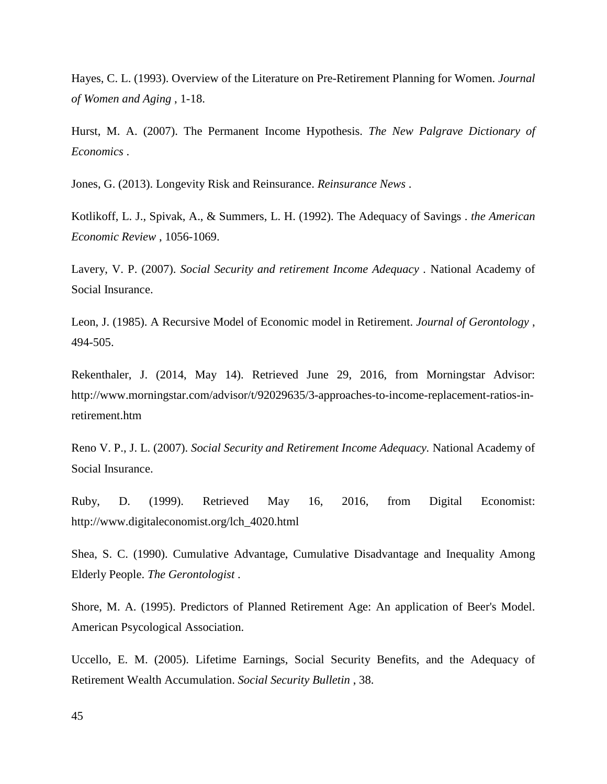Hayes, C. L. (1993). Overview of the Literature on Pre-Retirement Planning for Women. *Journal of Women and Aging* , 1-18.

Hurst, M. A. (2007). The Permanent Income Hypothesis. *The New Palgrave Dictionary of Economics* .

Jones, G. (2013). Longevity Risk and Reinsurance. *Reinsurance News* .

Kotlikoff, L. J., Spivak, A., & Summers, L. H. (1992). The Adequacy of Savings . *the American Economic Review* , 1056-1069.

Lavery, V. P. (2007). *Social Security and retirement Income Adequacy .* National Academy of Social Insurance.

Leon, J. (1985). A Recursive Model of Economic model in Retirement. *Journal of Gerontology* , 494-505.

Rekenthaler, J. (2014, May 14). Retrieved June 29, 2016, from Morningstar Advisor: http://www.morningstar.com/advisor/t/92029635/3-approaches-to-income-replacement-ratios-inretirement.htm

Reno V. P., J. L. (2007). *Social Security and Retirement Income Adequacy.* National Academy of Social Insurance.

Ruby, D. (1999). Retrieved May 16, 2016, from Digital Economist: http://www.digitaleconomist.org/lch\_4020.html

Shea, S. C. (1990). Cumulative Advantage, Cumulative Disadvantage and Inequality Among Elderly People. *The Gerontologist* .

Shore, M. A. (1995). Predictors of Planned Retirement Age: An application of Beer's Model. American Psycological Association.

Uccello, E. M. (2005). Lifetime Earnings, Social Security Benefits, and the Adequacy of Retirement Wealth Accumulation. *Social Security Bulletin* , 38.